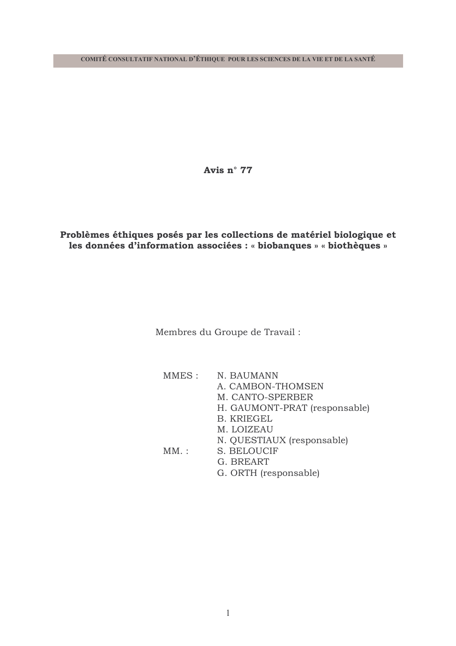Avis n° 77

## Problèmes éthiques posés par les collections de matériel biologique et les données d'information associées : « biobanques » « biothèques »

Membres du Groupe de Travail :

| MMES : | N. BAUMANN                    |
|--------|-------------------------------|
|        | A. CAMBON-THOMSEN             |
|        | M. CANTO-SPERBER              |
|        | H. GAUMONT-PRAT (responsable) |
|        | <b>B. KRIEGEL</b>             |
|        | M. LOIZEAU                    |
|        | N. QUESTIAUX (responsable)    |
| MM:    | S. BELOUCIF                   |
|        | G. BREART                     |
|        | G. ORTH (responsable)         |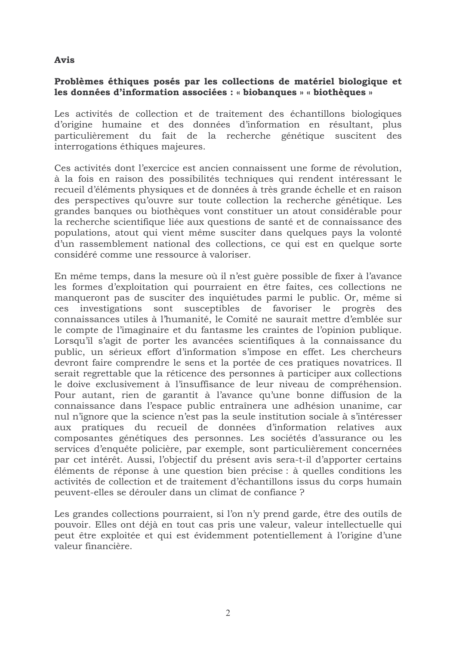### **Avis**

### Problèmes éthiques posés par les collections de matériel biologique et les données d'information associées : « biobanques » « biothèques »

Les activités de collection et de traitement des échantillons biologiques d'origine humaine et des données d'information en résultant, plus particulièrement du fait de la recherche génétique suscitent des interrogations éthiques majeures.

Ces activités dont l'exercice est ancien connaissent une forme de révolution, à la fois en raison des possibilités techniques qui rendent intéressant le recueil d'éléments physiques et de données à très grande échelle et en raison des perspectives qu'ouvre sur toute collection la recherche génétique. Les grandes banques ou biothèques vont constituer un atout considérable pour la recherche scientifique liée aux questions de santé et de connaissance des populations, atout qui vient même susciter dans quelques pays la volonté d'un rassemblement national des collections, ce qui est en quelque sorte considéré comme une ressource à valoriser.

En même temps, dans la mesure où il n'est guère possible de fixer à l'avance les formes d'exploitation qui pourraient en être faites, ces collections ne manqueront pas de susciter des inquiétudes parmi le public. Or, même si investigations sont susceptibles de favoriser le progrès ces des connaissances utiles à l'humanité, le Comité ne saurait mettre d'emblée sur le compte de l'imaginaire et du fantasme les craintes de l'opinion publique. Lorsqu'il s'agit de porter les avancées scientifiques à la connaissance du public, un sérieux effort d'information s'impose en effet. Les chercheurs devront faire comprendre le sens et la portée de ces pratiques novatrices. Il serait regrettable que la réticence des personnes à participer aux collections le doive exclusivement à l'insuffisance de leur niveau de compréhension. Pour autant, rien de garantit à l'avance qu'une bonne diffusion de la connaissance dans l'espace public entraînera une adhésion unanime, car nul n'ignore que la science n'est pas la seule institution sociale à s'intéresser aux pratiques du recueil de données d'information relatives aux composantes génétiques des personnes. Les sociétés d'assurance ou les services d'enquête policière, par exemple, sont particulièrement concernées par cet intérêt. Aussi, l'objectif du présent avis sera-t-il d'apporter certains éléments de réponse à une question bien précise : à quelles conditions les activités de collection et de traitement d'échantillons issus du corps humain peuvent-elles se dérouler dans un climat de confiance ?

Les grandes collections pourraient, si l'on n'y prend garde, être des outils de pouvoir. Elles ont déjà en tout cas pris une valeur, valeur intellectuelle qui peut être exploitée et qui est évidemment potentiellement à l'origine d'une valeur financière.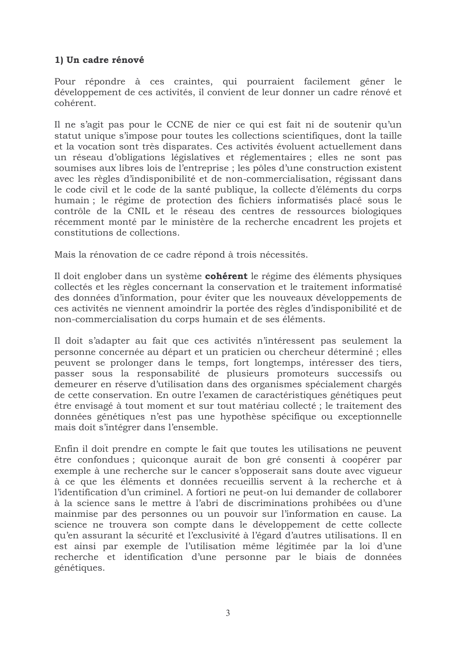## 1) Un cadre rénové

Pour répondre à ces craintes, qui pourraient facilement gêner le développement de ces activités, il convient de leur donner un cadre rénové et cohérent.

Il ne s'agit pas pour le CCNE de nier ce qui est fait ni de soutenir qu'un statut unique s'impose pour toutes les collections scientifiques, dont la taille et la vocation sont très disparates. Ces activités évoluent actuellement dans un réseau d'obligations législatives et réglementaires ; elles ne sont pas soumises aux libres lois de l'entreprise ; les pôles d'une construction existent avec les règles d'indisponibilité et de non-commercialisation, régissant dans le code civil et le code de la santé publique, la collecte d'éléments du corps humain ; le régime de protection des fichiers informatisés placé sous le contrôle de la CNIL et le réseau des centres de ressources biologiques récemment monté par le ministère de la recherche encadrent les projets et constitutions de collections.

Mais la rénovation de ce cadre répond à trois nécessités.

Il doit englober dans un système **cohérent** le régime des éléments physiques collectés et les règles concernant la conservation et le traitement informatisé des données d'information, pour éviter que les nouveaux développements de ces activités ne viennent amoindrir la portée des règles d'indisponibilité et de non-commercialisation du corps humain et de ses éléments.

Il doit s'adapter au fait que ces activités n'intéressent pas seulement la personne concernée au départ et un praticien ou chercheur déterminé; elles peuvent se prolonger dans le temps, fort longtemps, intéresser des tiers, passer sous la responsabilité de plusieurs promoteurs successifs ou demeurer en réserve d'utilisation dans des organismes spécialement chargés de cette conservation. En outre l'examen de caractéristiques génétiques peut être envisagé à tout moment et sur tout matériau collecté ; le traitement des données génétiques n'est pas une hypothèse spécifique ou exceptionnelle mais doit s'intégrer dans l'ensemble.

Enfin il doit prendre en compte le fait que toutes les utilisations ne peuvent être confondues ; quiconque aurait de bon gré consenti à coopérer par exemple à une recherche sur le cancer s'opposerait sans doute avec vigueur à ce que les éléments et données recueillis servent à la recherche et à l'identification d'un criminel. A fortiori ne peut-on lui demander de collaborer à la science sans le mettre à l'abri de discriminations prohibées ou d'une mainmise par des personnes ou un pouvoir sur l'information en cause. La science ne trouvera son compte dans le développement de cette collecte qu'en assurant la sécurité et l'exclusivité à l'égard d'autres utilisations. Il en est ainsi par exemple de l'utilisation même légitimée par la loi d'une recherche et identification d'une personne par le biais de données génétiques.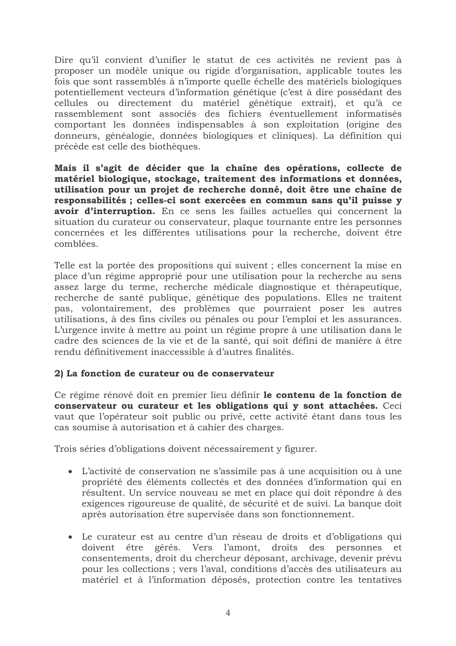Dire qu'il convient d'unifier le statut de ces activités ne revient pas à proposer un modèle unique ou rigide d'organisation, applicable toutes les fois que sont rassemblés à n'importe quelle échelle des matériels biologiques potentiellement vecteurs d'information génétique (c'est à dire possédant des cellules ou directement du matériel génétique extrait), et qu'à ce rassemblement sont associés des fichiers éventuellement informatisés comportant les données indispensables à son exploitation (origine des donneurs, généalogie, données biologiques et cliniques). La définition qui précède est celle des biothèques.

Mais il s'agit de décider que la chaîne des opérations, collecte de matériel biologique, stockage, traitement des informations et données, utilisation pour un projet de recherche donné, doit être une chaîne de responsabilités ; celles-ci sont exercées en commun sans qu'il puisse y avoir d'interruption. En ce sens les failles actuelles qui concernent la situation du curateur ou conservateur, plaque tournante entre les personnes concernées et les différentes utilisations pour la recherche, doivent être comblées.

Telle est la portée des propositions qui suivent ; elles concernent la mise en place d'un régime approprié pour une utilisation pour la recherche au sens assez large du terme, recherche médicale diagnostique et thérapeutique, recherche de santé publique, génétique des populations. Elles ne traitent pas, volontairement, des problèmes que pourraient poser les autres utilisations, à des fins civiles ou pénales ou pour l'emploi et les assurances. L'urgence invite à mettre au point un régime propre à une utilisation dans le cadre des sciences de la vie et de la santé, qui soit défini de manière à être rendu définitivement inaccessible à d'autres finalités.

## 2) La fonction de curateur ou de conservateur

Ce régime rénové doit en premier lieu définir le contenu de la fonction de conservateur ou curateur et les obligations qui y sont attachées. Ceci vaut que l'opérateur soit public ou privé, cette activité étant dans tous les cas soumise à autorisation et à cahier des charges.

Trois séries d'obligations doivent nécessairement y figurer.

- L'activité de conservation ne s'assimile pas à une acquisition ou à une propriété des éléments collectés et des données d'information qui en résultent. Un service nouveau se met en place qui doit répondre à des exigences rigoureuse de qualité, de sécurité et de suivi. La banque doit après autorisation être supervisée dans son fonctionnement.
- Le curateur est au centre d'un réseau de droits et d'obligations qui doivent être gérés. Vers l'amont, droits des personnes et consentements, droit du chercheur déposant, archivage, devenir prévu pour les collections ; vers l'aval, conditions d'accès des utilisateurs au matériel et à l'information déposés, protection contre les tentatives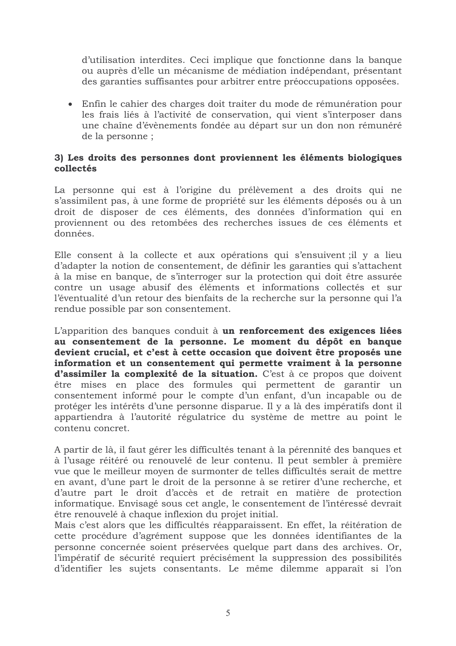d'utilisation interdites. Ceci implique que fonctionne dans la banque ou auprès d'elle un mécanisme de médiation indépendant, présentant des garanties suffisantes pour arbitrer entre préoccupations opposées.

• Enfin le cahier des charges doit traiter du mode de rémunération pour les frais liés à l'activité de conservation, qui vient s'interposer dans une chaîne d'évènements fondée au départ sur un don non rémunéré de la personne;

### 3) Les droits des personnes dont proviennent les éléments biologiques collectés

La personne qui est à l'origine du prélèvement a des droits qui ne s'assimilent pas, à une forme de propriété sur les éléments déposés ou à un droit de disposer de ces éléments, des données d'information qui en proviennent ou des retombées des recherches issues de ces éléments et données.

Elle consent à la collecte et aux opérations qui s'ensuivent; il y a lieu d'adapter la notion de consentement, de définir les garanties qui s'attachent à la mise en banque, de s'interroger sur la protection qui doit être assurée contre un usage abusif des éléments et informations collectés et sur l'éventualité d'un retour des bienfaits de la recherche sur la personne qui l'a rendue possible par son consentement.

L'apparition des banques conduit à un renforcement des exigences liées au consentement de la personne. Le moment du dépôt en banque devient crucial, et c'est à cette occasion que doivent être proposés une information et un consentement qui permette vraiment à la personne d'assimiler la complexité de la situation. C'est à ce propos que doivent être mises en place des formules qui permettent de garantir un consentement informé pour le compte d'un enfant, d'un incapable ou de protéger les intérêts d'une personne disparue. Il y a là des impératifs dont il appartiendra à l'autorité régulatrice du système de mettre au point le contenu concret.

A partir de là, il faut gérer les difficultés tenant à la pérennité des banques et à l'usage réitéré ou renouvelé de leur contenu. Il peut sembler à première vue que le meilleur moyen de surmonter de telles difficultés serait de mettre en avant, d'une part le droit de la personne à se retirer d'une recherche, et d'autre part le droit d'accès et de retrait en matière de protection informatique. Envisagé sous cet angle, le consentement de l'intéressé devrait être renouvelé à chaque inflexion du projet initial.

Mais c'est alors que les difficultés réapparaissent. En effet, la réitération de cette procédure d'agrément suppose que les données identifiantes de la personne concernée soient préservées quelque part dans des archives. Or, l'impératif de sécurité requiert précisément la suppression des possibilités d'identifier les sujets consentants. Le même dilemme apparaît si l'on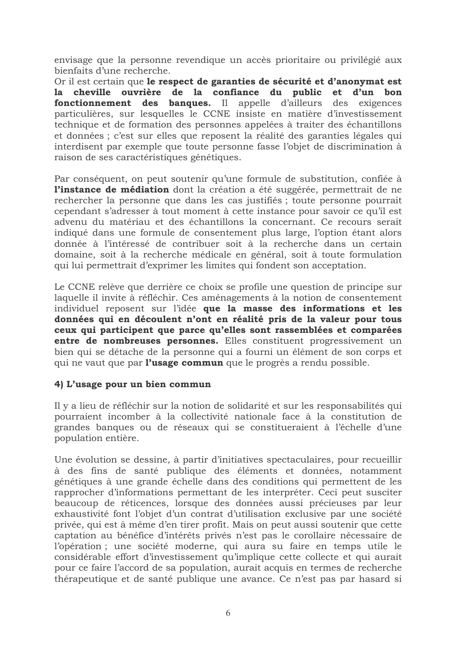envisage que la personne revendique un accès prioritaire ou privilégié aux bienfaits d'une recherche.

Or il est certain que le respect de garanties de sécurité et d'anonymat est la cheville ouvrière de la confiance du public et d'un bon fonctionnement des banques. Il appelle d'ailleurs des exigences particulières, sur lesquelles le CCNE insiste en matière d'investissement technique et de formation des personnes appelées à traiter des échantillons et données ; c'est sur elles que reposent la réalité des garanties légales qui interdisent par exemple que toute personne fasse l'objet de discrimination à raison de ses caractéristiques génétiques.

Par conséquent, on peut soutenir qu'une formule de substitution, confiée à l'instance de médiation dont la création a été suggérée, permettrait de ne rechercher la personne que dans les cas justifiés ; toute personne pourrait cependant s'adresser à tout moment à cette instance pour savoir ce qu'il est advenu du matériau et des échantillons la concernant. Ce recours serait indiqué dans une formule de consentement plus large, l'option étant alors donnée à l'intéressé de contribuer soit à la recherche dans un certain domaine, soit à la recherche médicale en général, soit à toute formulation qui lui permettrait d'exprimer les limites qui fondent son acceptation.

Le CCNE relève que derrière ce choix se profile une question de principe sur laquelle il invite à réfléchir. Ces aménagements à la notion de consentement individuel reposent sur l'idée que la masse des informations et les données qui en découlent n'ont en réalité pris de la valeur pour tous ceux qui participent que parce qu'elles sont rassemblées et comparées entre de nombreuses personnes. Elles constituent progressivement un bien qui se détache de la personne qui a fourni un élément de son corps et qui ne vaut que par l'usage commun que le progrès a rendu possible.

#### 4) L'usage pour un bien commun

Il y a lieu de réfléchir sur la notion de solidarité et sur les responsabilités qui pourraient incomber à la collectivité nationale face à la constitution de grandes banques ou de réseaux qui se constitueraient à l'échelle d'une population entière.

Une évolution se dessine, à partir d'initiatives spectaculaires, pour recueillir à des fins de santé publique des éléments et données, notamment génétiques à une grande échelle dans des conditions qui permettent de les rapprocher d'informations permettant de les interpréter. Ceci peut susciter beaucoup de réticences, lorsque des données aussi précieuses par leur exhaustivité font l'objet d'un contrat d'utilisation exclusive par une société privée, qui est à même d'en tirer profit. Mais on peut aussi soutenir que cette captation au bénéfice d'intérêts privés n'est pas le corollaire nécessaire de l'opération; une société moderne, qui aura su faire en temps utile le considérable effort d'investissement qu'implique cette collecte et qui aurait pour ce faire l'accord de sa population, aurait acquis en termes de recherche thérapeutique et de santé publique une avance. Ce n'est pas par hasard si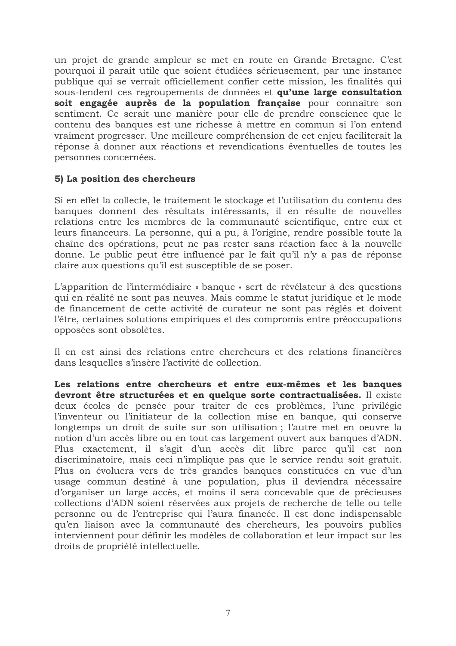un projet de grande ampleur se met en route en Grande Bretagne. C'est pourquoi il parait utile que soient étudiées sérieusement, par une instance publique qui se verrait officiellement confier cette mission, les finalités qui sous-tendent ces regroupements de données et qu'une large consultation soit engagée auprès de la population française pour connaître son sentiment. Ce serait une manière pour elle de prendre conscience que le contenu des banques est une richesse à mettre en commun si l'on entend vraiment progresser. Une meilleure compréhension de cet enjeu faciliterait la réponse à donner aux réactions et revendications éventuelles de toutes les personnes concernées.

#### 5) La position des chercheurs

Si en effet la collecte, le traitement le stockage et l'utilisation du contenu des banques donnent des résultats intéressants, il en résulte de nouvelles relations entre les membres de la communauté scientifique, entre eux et leurs financeurs. La personne, qui a pu, à l'origine, rendre possible toute la chaîne des opérations, peut ne pas rester sans réaction face à la nouvelle donne. Le public peut être influencé par le fait qu'il n'y a pas de réponse claire aux questions qu'il est susceptible de se poser.

L'apparition de l'intermédiaire « banque » sert de révélateur à des questions qui en réalité ne sont pas neuves. Mais comme le statut juridique et le mode de financement de cette activité de curateur ne sont pas réglés et doivent l'être, certaines solutions empiriques et des compromis entre préoccupations opposées sont obsolètes.

Il en est ainsi des relations entre chercheurs et des relations financières dans lesquelles s'insère l'activité de collection.

Les relations entre chercheurs et entre eux-mêmes et les banques devront être structurées et en quelque sorte contractualisées. Il existe deux écoles de pensée pour traiter de ces problèmes, l'une privilégie l'inventeur ou l'initiateur de la collection mise en banque, qui conserve longtemps un droit de suite sur son utilisation; l'autre met en oeuvre la notion d'un accès libre ou en tout cas largement ouvert aux banques d'ADN. Plus exactement, il s'agit d'un accès dit libre parce qu'il est non discriminatoire, mais ceci n'implique pas que le service rendu soit gratuit. Plus on évoluera vers de très grandes banques constituées en vue d'un usage commun destiné à une population, plus il deviendra nécessaire d'organiser un large accès, et moins il sera concevable que de précieuses collections d'ADN soient réservées aux projets de recherche de telle ou telle personne ou de l'entreprise qui l'aura financée. Il est donc indispensable qu'en liaison avec la communauté des chercheurs, les pouvoirs publics interviennent pour définir les modèles de collaboration et leur impact sur les droits de propriété intellectuelle.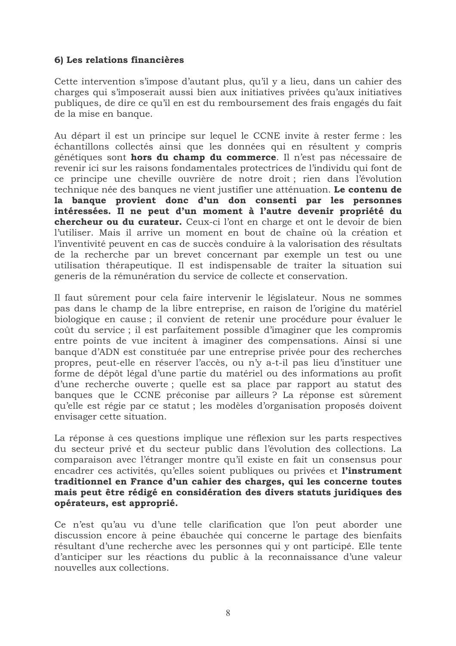## 6) Les relations financières

Cette intervention s'impose d'autant plus, qu'il y a lieu, dans un cahier des charges qui s'imposerait aussi bien aux initiatives privées qu'aux initiatives publiques, de dire ce qu'il en est du remboursement des frais engagés du fait de la mise en banque.

Au départ il est un principe sur lequel le CCNE invite à rester ferme : les échantillons collectés ainsi que les données qui en résultent y compris génétiques sont hors du champ du commerce. Il n'est pas nécessaire de revenir ici sur les raisons fondamentales protectrices de l'individu qui font de ce principe une cheville ouvrière de notre droit; rien dans l'évolution technique née des banques ne vient justifier une atténuation. Le contenu de la banque provient donc d'un don consenti par les personnes intéressées. Il ne peut d'un moment à l'autre devenir propriété du chercheur ou du curateur. Ceux-ci l'ont en charge et ont le devoir de bien l'utiliser. Mais il arrive un moment en bout de chaîne où la création et l'inventivité peuvent en cas de succès conduire à la valorisation des résultats de la recherche par un brevet concernant par exemple un test ou une utilisation thérapeutique. Il est indispensable de traiter la situation sui generis de la rémunération du service de collecte et conservation.

Il faut sûrement pour cela faire intervenir le législateur. Nous ne sommes pas dans le champ de la libre entreprise, en raison de l'origine du matériel biologique en cause ; il convient de retenir une procédure pour évaluer le coût du service; il est parfaitement possible d'imaginer que les compromis entre points de vue incitent à imaginer des compensations. Ainsi si une banque d'ADN est constituée par une entreprise privée pour des recherches propres, peut-elle en réserver l'accès, ou n'y a-t-il pas lieu d'instituer une forme de dépôt légal d'une partie du matériel ou des informations au profit d'une recherche ouverte; quelle est sa place par rapport au statut des banques que le CCNE préconise par ailleurs ? La réponse est sûrement qu'elle est régie par ce statut ; les modèles d'organisation proposés doivent envisager cette situation.

La réponse à ces questions implique une réflexion sur les parts respectives du secteur privé et du secteur public dans l'évolution des collections. La comparaison avec l'étranger montre qu'il existe en fait un consensus pour encadrer ces activités, qu'elles soient publiques ou privées et l'instrument traditionnel en France d'un cahier des charges, qui les concerne toutes mais peut être rédigé en considération des divers statuts juridiques des opérateurs, est approprié.

Ce n'est qu'au vu d'une telle clarification que l'on peut aborder une discussion encore à peine ébauchée qui concerne le partage des bienfaits résultant d'une recherche avec les personnes qui y ont participé. Elle tente d'anticiper sur les réactions du public à la reconnaissance d'une valeur nouvelles aux collections.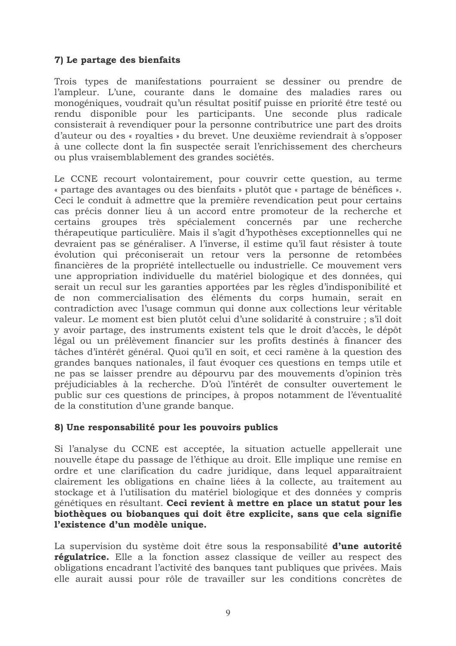## 7) Le partage des bienfaits

Trois types de manifestations pourraient se dessiner ou prendre de l'ampleur. L'une, courante dans le domaine des maladies rares ou monogéniques, voudrait qu'un résultat positif puisse en priorité être testé ou rendu disponible pour les participants. Une seconde plus radicale consisterait à revendiquer pour la personne contributrice une part des droits d'auteur ou des « royalties » du brevet. Une deuxième reviendrait à s'opposer à une collecte dont la fin suspectée serait l'enrichissement des chercheurs ou plus vraisemblablement des grandes sociétés.

Le CCNE recourt volontairement, pour couvrir cette question, au terme « partage des avantages ou des bienfaits » plutôt que « partage de bénéfices ». Ceci le conduit à admettre que la première revendication peut pour certains cas précis donner lieu à un accord entre promoteur de la recherche et certains groupes très spécialement concernés par une recherche thérapeutique particulière. Mais il s'agit d'hypothèses exceptionnelles qui ne devraient pas se généraliser. A l'inverse, il estime qu'il faut résister à toute évolution qui préconiserait un retour vers la personne de retombées financières de la propriété intellectuelle ou industrielle. Ce mouvement vers une appropriation individuelle du matériel biologique et des données, qui serait un recul sur les garanties apportées par les règles d'indisponibilité et de non commercialisation des éléments du corps humain, serait en contradiction avec l'usage commun qui donne aux collections leur véritable valeur. Le moment est bien plutôt celui d'une solidarité à construire ; s'il doit y avoir partage, des instruments existent tels que le droit d'accès, le dépôt légal ou un prélèvement financier sur les profits destinés à financer des tâches d'intérêt général. Quoi qu'il en soit, et ceci ramène à la question des grandes banques nationales, il faut évoquer ces questions en temps utile et ne pas se laisser prendre au dépourvu par des mouvements d'opinion très préjudiciables à la recherche. D'où l'intérêt de consulter ouvertement le public sur ces questions de principes, à propos notamment de l'éventualité de la constitution d'une grande banque.

## 8) Une responsabilité pour les pouvoirs publics

Si l'analyse du CCNE est acceptée, la situation actuelle appellerait une nouvelle étape du passage de l'éthique au droit. Elle implique une remise en ordre et une clarification du cadre juridique, dans lequel apparaîtraient clairement les obligations en chaîne liées à la collecte, au traitement au stockage et à l'utilisation du matériel biologique et des données y compris génétiques en résultant. Ceci revient à mettre en place un statut pour les biothèques ou biobanques qui doit être explicite, sans que cela signifie l'existence d'un modèle unique.

La supervision du système doit être sous la responsabilité d'une autorité régulatrice. Elle a la fonction assez classique de veiller au respect des obligations encadrant l'activité des banques tant publiques que privées. Mais elle aurait aussi pour rôle de travailler sur les conditions concrètes de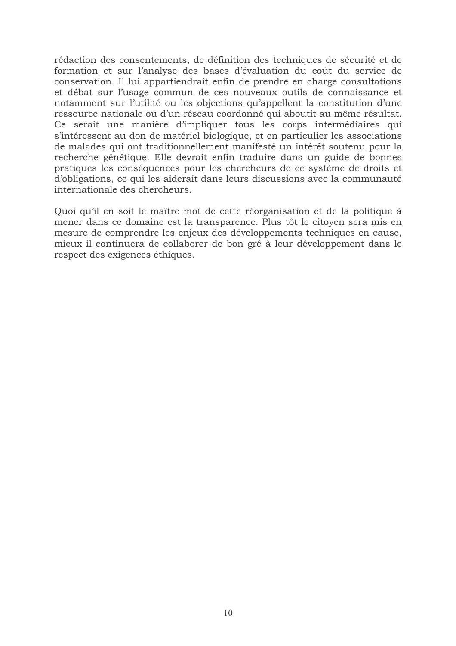rédaction des consentements, de définition des techniques de sécurité et de formation et sur l'analyse des bases d'évaluation du coût du service de conservation. Il lui appartiendrait enfin de prendre en charge consultations et débat sur l'usage commun de ces nouveaux outils de connaissance et notamment sur l'utilité ou les objections qu'appellent la constitution d'une ressource nationale ou d'un réseau coordonné qui aboutit au même résultat. Ce serait une manière d'impliquer tous les corps intermédiaires qui s'intéressent au don de matériel biologique, et en particulier les associations de malades qui ont traditionnellement manifesté un intérêt soutenu pour la recherche génétique. Elle devrait enfin traduire dans un guide de bonnes pratiques les conséquences pour les chercheurs de ce système de droits et d'obligations, ce qui les aiderait dans leurs discussions avec la communauté internationale des chercheurs.

Quoi qu'il en soit le maître mot de cette réorganisation et de la politique à mener dans ce domaine est la transparence. Plus tôt le citoyen sera mis en mesure de comprendre les enjeux des développements techniques en cause, mieux il continuera de collaborer de bon gré à leur développement dans le respect des exigences éthiques.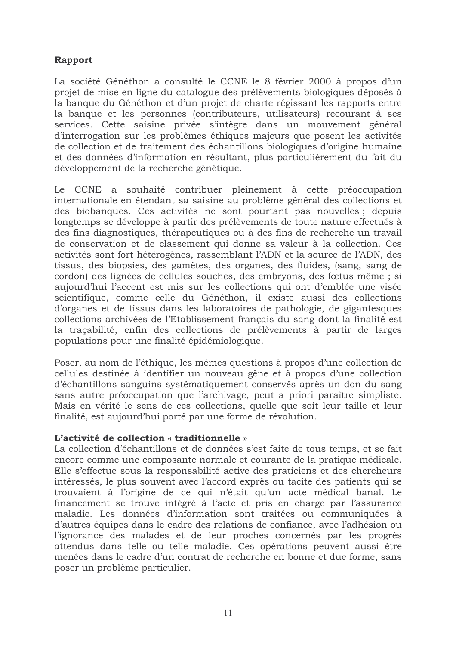# Rapport

La société Généthon a consulté le CCNE le 8 février 2000 à propos d'un projet de mise en ligne du catalogue des prélèvements biologiques déposés à la banque du Généthon et d'un projet de charte régissant les rapports entre la banque et les personnes (contributeurs, utilisateurs) recourant à ses services. Cette saisine privée s'intègre dans un mouvement général d'interrogation sur les problèmes éthiques majeurs que posent les activités de collection et de traitement des échantillons biologiques d'origine humaine et des données d'information en résultant, plus particulièrement du fait du développement de la recherche génétique.

Le CCNE a souhaité contribuer pleinement à cette préoccupation internationale en étendant sa saisine au problème général des collections et des biobanques. Ces activités ne sont pourtant pas nouvelles; depuis longtemps se développe à partir des prélèvements de toute nature effectués à des fins diagnostiques, thérapeutiques ou à des fins de recherche un travail de conservation et de classement qui donne sa valeur à la collection. Ces activités sont fort hétérogènes, rassemblant l'ADN et la source de l'ADN, des tissus, des biopsies, des gamètes, des organes, des fluides, (sang, sang de cordon) des lignées de cellules souches, des embryons, des fœtus même ; si aujourd'hui l'accent est mis sur les collections qui ont d'emblée une visée scientifique, comme celle du Généthon, il existe aussi des collections d'organes et de tissus dans les laboratoires de pathologie, de gigantesques collections archivées de l'Etablissement français du sang dont la finalité est la tracabilité, enfin des collections de prélèvements à partir de larges populations pour une finalité épidémiologique.

Poser, au nom de l'éthique, les mêmes questions à propos d'une collection de cellules destinée à identifier un nouveau gène et à propos d'une collection d'échantillons sanguins systématiquement conservés après un don du sang sans autre préoccupation que l'archivage, peut a priori paraître simpliste. Mais en vérité le sens de ces collections, quelle que soit leur taille et leur finalité, est aujourd'hui porté par une forme de révolution.

#### L'activité de collection « traditionnelle »

La collection d'échantillons et de données s'est faite de tous temps, et se fait encore comme une composante normale et courante de la pratique médicale. Elle s'effectue sous la responsabilité active des praticiens et des chercheurs intéressés, le plus souvent avec l'accord exprès ou tacite des patients qui se trouvaient à l'origine de ce qui n'était qu'un acte médical banal. Le financement se trouve intégré à l'acte et pris en charge par l'assurance maladie. Les données d'information sont traitées ou communiquées à d'autres équipes dans le cadre des relations de confiance, avec l'adhésion ou l'ignorance des malades et de leur proches concernés par les progrès attendus dans telle ou telle maladie. Ces opérations peuvent aussi être menées dans le cadre d'un contrat de recherche en bonne et due forme, sans poser un problème particulier.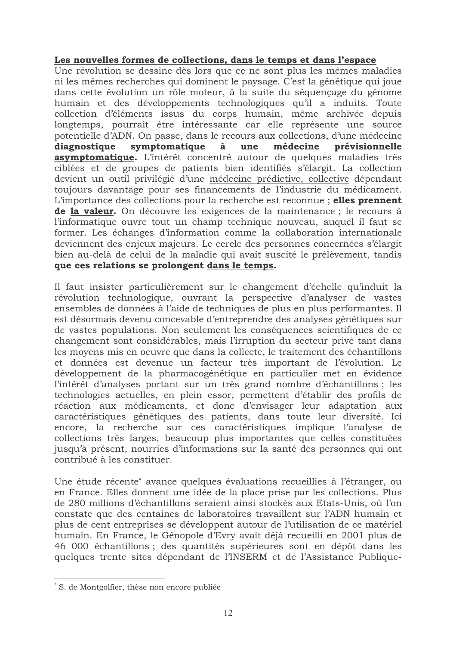#### Les nouvelles formes de collections, dans le temps et dans l'espace

Une révolution se dessine dès lors que ce ne sont plus les mêmes maladies ni les mêmes recherches qui dominent le paysage. C'est la génétique qui joue dans cette évolution un rôle moteur, à la suite du séquençage du génome humain et des développements technologiques qu'il a induits. Toute collection d'éléments issus du corps humain, même archivée depuis longtemps, pourrait être intéressante car elle représente une source potentielle d'ADN. On passe, dans le recours aux collections, d'une médecine diagnostique symptomatique une médecine prévisionnelle à **asymptomatique.** L'intérêt concentré autour de quelques maladies très ciblées et de groupes de patients bien identifiés s'élargit. La collection devient un outil privilégié d'une médecine prédictive, collective dépendant toujours davantage pour ses financements de l'industrie du médicament. L'importance des collections pour la recherche est reconnue; elles prennent de la valeur. On découvre les exigences de la maintenance ; le recours à l'informatique ouvre tout un champ technique nouveau, auquel il faut se former. Les échanges d'information comme la collaboration internationale deviennent des enjeux majeurs. Le cercle des personnes concernées s'élargit bien au-delà de celui de la maladie qui avait suscité le prélèvement, tandis que ces relations se prolongent dans le temps.

Il faut insister particulièrement sur le changement d'échelle qu'induit la révolution technologique, ouvrant la perspective d'analyser de vastes ensembles de données à l'aide de techniques de plus en plus performantes. Il est désormais devenu concevable d'entreprendre des analyses génétiques sur de vastes populations. Non seulement les conséquences scientifiques de ce changement sont considérables, mais l'irruption du secteur privé tant dans les moyens mis en oeuvre que dans la collecte, le traitement des échantillons et données est devenue un facteur très important de l'évolution. Le développement de la pharmacogénétique en particulier met en évidence l'intérêt d'analyses portant sur un très grand nombre d'échantillons; les technologies actuelles, en plein essor, permettent d'établir des profils de réaction aux médicaments, et donc d'envisager leur adaptation aux caractéristiques génétiques des patients, dans toute leur diversité. Ici encore, la recherche sur ces caractéristiques implique l'analyse de collections très larges, beaucoup plus importantes que celles constituées jusqu'à présent, nourries d'informations sur la santé des personnes qui ont contribué à les constituer.

Une étude récente\* avance quelques évaluations recueillies à l'étranger, ou en France. Elles donnent une idée de la place prise par les collections. Plus de 280 millions d'échantillons seraient ainsi stockés aux Etats-Unis, où l'on constate que des centaines de laboratoires travaillent sur l'ADN humain et plus de cent entreprises se développent autour de l'utilisation de ce matériel humain. En France, le Génopole d'Evry avait déjà recueilli en 2001 plus de 46 000 échantillons ; des quantités supérieures sont en dépôt dans les quelques trente sites dépendant de l'INSERM et de l'Assistance Publique-

<sup>\*</sup> S. de Montgolfier, thèse non encore publiée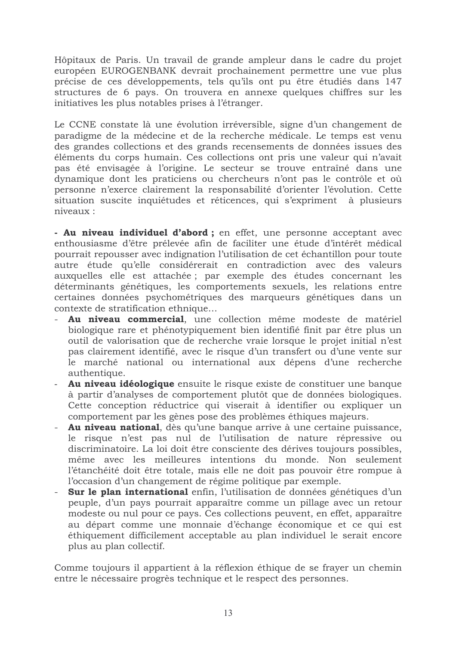Hôpitaux de Paris. Un travail de grande ampleur dans le cadre du projet européen EUROGENBANK devrait prochainement permettre une vue plus précise de ces développements, tels qu'ils ont pu être étudiés dans 147 structures de 6 pays. On trouvera en annexe quelques chiffres sur les initiatives les plus notables prises à l'étranger.

Le CCNE constate là une évolution irréversible, signe d'un changement de paradigme de la médecine et de la recherche médicale. Le temps est venu des grandes collections et des grands recensements de données issues des éléments du corps humain. Ces collections ont pris une valeur qui n'avait pas été envisagée à l'origine. Le secteur se trouve entraîné dans une dynamique dont les praticiens ou chercheurs n'ont pas le contrôle et où personne n'exerce clairement la responsabilité d'orienter l'évolution. Cette situation suscite inquiétudes et réticences, qui s'expriment à plusieurs niveaux :

- Au niveau individuel d'abord ; en effet, une personne acceptant avec enthousiasme d'être prélevée afin de faciliter une étude d'intérêt médical pourrait repousser avec indignation l'utilisation de cet échantillon pour toute autre étude qu'elle considérerait en contradiction avec des valeurs auxquelles elle est attachée; par exemple des études concernant les déterminants génétiques, les comportements sexuels, les relations entre certaines données psychométriques des marqueurs génétiques dans un contexte de stratification ethnique...

- Au niveau commercial, une collection même modeste de matériel biologique rare et phénotypiquement bien identifié finit par être plus un outil de valorisation que de recherche vraie lorsque le projet initial n'est pas clairement identifié, avec le risque d'un transfert ou d'une vente sur le marché national ou international aux dépens d'une recherche authentique.
- Au niveau idéologique ensuite le risque existe de constituer une banque à partir d'analyses de comportement plutôt que de données biologiques. Cette conception réductrice qui viserait à identifier ou expliquer un comportement par les gènes pose des problèmes éthiques majeurs.
- Au niveau national, dès qu'une banque arrive à une certaine puissance, le risque n'est pas nul de l'utilisation de nature répressive ou discriminatoire. La loi doit être consciente des dérives toujours possibles, même avec les meilleures intentions du monde. Non seulement l'étanchéité doit être totale, mais elle ne doit pas pouvoir être rompue à l'occasion d'un changement de régime politique par exemple.
- Sur le plan international enfin, l'utilisation de données génétiques d'un peuple, d'un pays pourrait apparaître comme un pillage avec un retour modeste ou nul pour ce pays. Ces collections peuvent, en effet, apparaître au départ comme une monnaie d'échange économique et ce qui est éthiquement difficilement acceptable au plan individuel le serait encore plus au plan collectif.

Comme toujours il appartient à la réflexion éthique de se frayer un chemin entre le nécessaire progrès technique et le respect des personnes.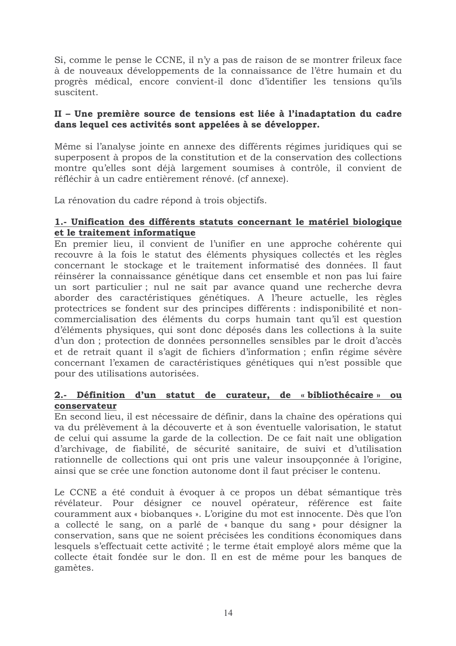Si, comme le pense le CCNE, il n'y a pas de raison de se montrer frileux face à de nouveaux développements de la connaissance de l'être humain et du progrès médical, encore convient-il donc d'identifier les tensions qu'ils suscitent.

## II - Une première source de tensions est liée à l'inadaptation du cadre dans lequel ces activités sont appelées à se développer.

Même si l'analyse jointe en annexe des différents régimes juridiques qui se superposent à propos de la constitution et de la conservation des collections montre qu'elles sont déjà largement soumises à contrôle, il convient de réfléchir à un cadre entièrement rénové. (cf annexe).

La rénovation du cadre répond à trois objectifs.

## 1.- Unification des différents statuts concernant le matériel biologique et le traitement informatique

En premier lieu, il convient de l'unifier en une approche cohérente qui recouvre à la fois le statut des éléments physiques collectés et les règles concernant le stockage et le traitement informatisé des données. Il faut réinsérer la connaissance génétique dans cet ensemble et non pas lui faire un sort particulier; nul ne sait par avance quand une recherche devra aborder des caractéristiques génétiques. A l'heure actuelle, les règles protectrices se fondent sur des principes différents : indisponibilité et noncommercialisation des éléments du corps humain tant qu'il est question d'éléments physiques, qui sont donc déposés dans les collections à la suite d'un don ; protection de données personnelles sensibles par le droit d'accès et de retrait quant il s'agit de fichiers d'information; enfin régime sévère concernant l'examen de caractéristiques génétiques qui n'est possible que pour des utilisations autorisées.

## 2.- Définition d'un statut de curateur, de « bibliothécaire » ou conservateur

En second lieu, il est nécessaire de définir, dans la chaîne des opérations qui va du prélèvement à la découverte et à son éventuelle valorisation, le statut de celui qui assume la garde de la collection. De ce fait naît une obligation d'archivage, de fiabilité, de sécurité sanitaire, de suivi et d'utilisation rationnelle de collections qui ont pris une valeur insoupconnée à l'origine, ainsi que se crée une fonction autonome dont il faut préciser le contenu.

Le CCNE a été conduit à évoquer à ce propos un débat sémantique très révélateur. Pour désigner ce nouvel opérateur, référence est faite couramment aux « biobanques ». L'origine du mot est innocente. Dès que l'on a collecté le sang, on a parlé de « banque du sang » pour désigner la conservation, sans que ne soient précisées les conditions économiques dans lesquels s'effectuait cette activité ; le terme était employé alors même que la collecte était fondée sur le don. Il en est de même pour les banques de gamètes.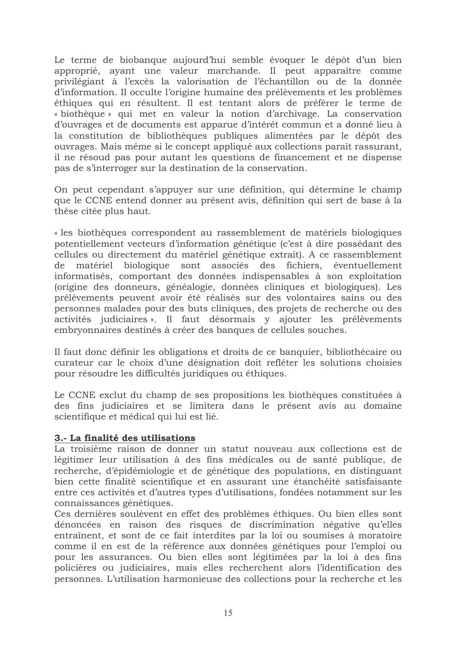Le terme de biobanque aujourd'hui semble évoquer le dépôt d'un bien approprié, ayant une valeur marchande. Il peut apparaître comme privilégiant à l'excès la valorisation de l'échantillon ou de la donnée d'information. Il occulte l'origine humaine des prélèvements et les problèmes éthiques qui en résultent. Il est tentant alors de préférer le terme de « biothèque » qui met en valeur la notion d'archivage. La conservation d'ouvrages et de documents est apparue d'intérêt commun et a donné lieu à la constitution de bibliothèques publiques alimentées par le dépôt des ouvrages. Mais même si le concept appliqué aux collections paraît rassurant, il ne résoud pas pour autant les questions de financement et ne dispense pas de s'interroger sur la destination de la conservation.

On peut cependant s'appuyer sur une définition, qui détermine le champ que le CCNE entend donner au présent avis, définition qui sert de base à la thèse citée plus haut.

« les biothèques correspondent au rassemblement de matériels biologiques potentiellement vecteurs d'information génétique (c'est à dire possédant des cellules ou directement du matériel génétique extrait). A ce rassemblement matériel biologique sont associés des fichiers, éventuellement de informatisés, comportant des données indispensables à son exploitation (origine des donneurs, généalogie, données cliniques et biologiques). Les prélèvements peuvent avoir été réalisés sur des volontaires sains ou des personnes malades pour des buts cliniques, des projets de recherche ou des activités judiciaires ». Il faut désormais y ajouter les prélèvements embryonnaires destinés à créer des banques de cellules souches.

Il faut donc définir les obligations et droits de ce banquier, bibliothécaire ou curateur car le choix d'une désignation doit refléter les solutions choisies pour résoudre les difficultés juridiques ou éthiques.

Le CCNE exclut du champ de ses propositions les biothèques constituées à des fins judiciaires et se limitera dans le présent avis au domaine scientifique et médical qui lui est lié.

#### 3.- La finalité des utilisations

La troisième raison de donner un statut nouveau aux collections est de légitimer leur utilisation à des fins médicales ou de santé publique, de recherche, d'épidémiologie et de génétique des populations, en distinguant bien cette finalité scientifique et en assurant une étanchéité satisfaisante entre ces activités et d'autres types d'utilisations, fondées notamment sur les connaissances génétiques.

Ces dernières soulèvent en effet des problèmes éthiques. Ou bien elles sont dénoncées en raison des risques de discrimination négative qu'elles entraînent, et sont de ce fait interdites par la loi ou soumises à moratoire comme il en est de la référence aux données génétiques pour l'emploi ou pour les assurances. Ou bien elles sont légitimées par la loi à des fins policières ou judiciaires, mais elles recherchent alors l'identification des personnes. L'utilisation harmonieuse des collections pour la recherche et les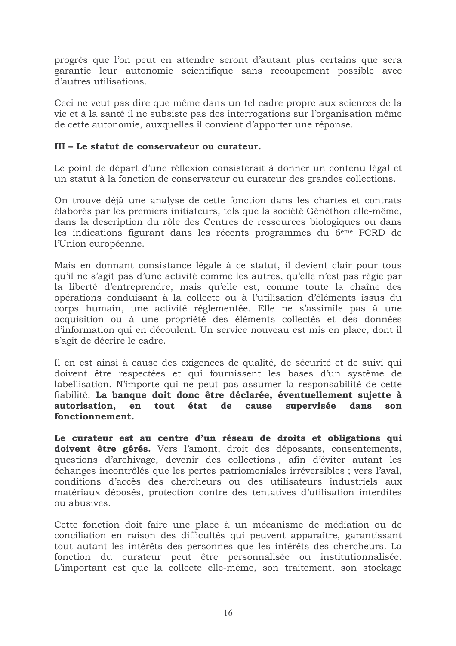progrès que l'on peut en attendre seront d'autant plus certains que sera garantie leur autonomie scientifique sans recoupement possible avec d'autres utilisations.

Ceci ne veut pas dire que même dans un tel cadre propre aux sciences de la vie et à la santé il ne subsiste pas des interrogations sur l'organisation même de cette autonomie, auxquelles il convient d'apporter une réponse.

## III - Le statut de conservateur ou curateur.

Le point de départ d'une réflexion consisterait à donner un contenu légal et un statut à la fonction de conservateur ou curateur des grandes collections.

On trouve déjà une analyse de cette fonction dans les chartes et contrats élaborés par les premiers initiateurs, tels que la société Généthon elle-même, dans la description du rôle des Centres de ressources biologiques ou dans les indications figurant dans les récents programmes du 6<sup>ème</sup> PCRD de l'Union européenne.

Mais en donnant consistance légale à ce statut, il devient clair pour tous qu'il ne s'agit pas d'une activité comme les autres, qu'elle n'est pas régie par la liberté d'entreprendre, mais qu'elle est, comme toute la chaîne des opérations conduisant à la collecte ou à l'utilisation d'éléments issus du corps humain, une activité réglementée. Elle ne s'assimile pas à une acquisition ou à une propriété des éléments collectés et des données d'information qui en découlent. Un service nouveau est mis en place, dont il s'agit de décrire le cadre.

Il en est ainsi à cause des exigences de qualité, de sécurité et de suivi qui doivent être respectées et qui fournissent les bases d'un système de labellisation. N'importe qui ne peut pas assumer la responsabilité de cette fiabilité. La banque doit donc être déclarée, éventuellement sujette à autorisation, en tout état de cause supervisée dans son fonctionnement.

Le curateur est au centre d'un réseau de droits et obligations qui doivent être gérés. Vers l'amont, droit des déposants, consentements, questions d'archivage, devenir des collections, afin d'éviter autant les échanges incontrôlés que les pertes patriomoniales irréversibles ; vers l'aval, conditions d'accès des chercheurs ou des utilisateurs industriels aux matériaux déposés, protection contre des tentatives d'utilisation interdites ou abusives.

Cette fonction doit faire une place à un mécanisme de médiation ou de conciliation en raison des difficultés qui peuvent apparaître, garantissant tout autant les intérêts des personnes que les intérêts des chercheurs. La fonction du curateur peut être personnalisée ou institutionnalisée. L'important est que la collecte elle-même, son traitement, son stockage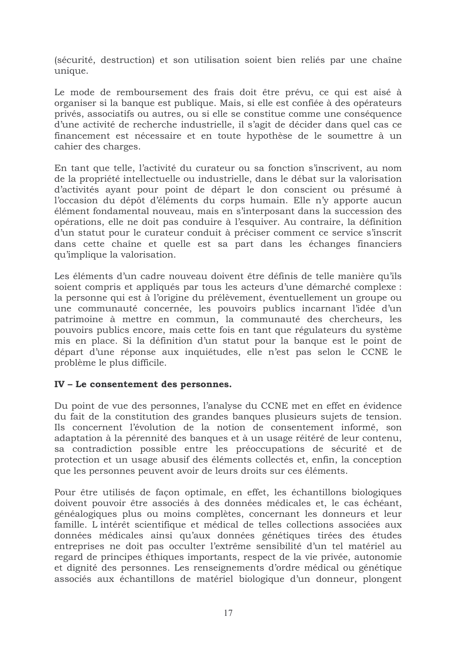(sécurité, destruction) et son utilisation soient bien reliés par une chaîne unique.

Le mode de remboursement des frais doit être prévu, ce qui est aisé à organiser si la banque est publique. Mais, si elle est confiée à des opérateurs privés, associatifs ou autres, ou si elle se constitue comme une conséquence d'une activité de recherche industrielle, il s'agit de décider dans quel cas ce financement est nécessaire et en toute hypothèse de le soumettre à un cahier des charges.

En tant que telle, l'activité du curateur ou sa fonction s'inscrivent, au nom de la propriété intellectuelle ou industrielle, dans le débat sur la valorisation d'activités ayant pour point de départ le don conscient ou présumé à l'occasion du dépôt d'éléments du corps humain. Elle n'y apporte aucun élément fondamental nouveau, mais en s'interposant dans la succession des opérations, elle ne doit pas conduire à l'esquiver. Au contraire, la définition d'un statut pour le curateur conduit à préciser comment ce service s'inscrit dans cette chaîne et quelle est sa part dans les échanges financiers qu'implique la valorisation.

Les éléments d'un cadre nouveau doivent être définis de telle manière qu'ils soient compris et appliqués par tous les acteurs d'une démarché complexe : la personne qui est à l'origine du prélèvement, éventuellement un groupe ou une communauté concernée, les pouvoirs publics incarnant l'idée d'un patrimoine à mettre en commun, la communauté des chercheurs, les pouvoirs publics encore, mais cette fois en tant que régulateurs du système mis en place. Si la définition d'un statut pour la banque est le point de départ d'une réponse aux inquiétudes, elle n'est pas selon le CCNE le problème le plus difficile.

## IV - Le consentement des personnes.

Du point de vue des personnes, l'analyse du CCNE met en effet en évidence du fait de la constitution des grandes banques plusieurs sujets de tension. Ils concernent l'évolution de la notion de consentement informé, son adaptation à la pérennité des banques et à un usage réitéré de leur contenu, sa contradiction possible entre les préoccupations de sécurité et de protection et un usage abusif des éléments collectés et, enfin, la conception que les personnes peuvent avoir de leurs droits sur ces éléments.

Pour être utilisés de facon optimale, en effet, les échantillons biologiques doivent pouvoir être associés à des données médicales et, le cas échéant, généalogiques plus ou moins complètes, concernant les donneurs et leur famille. L'intérêt scientifique et médical de telles collections associées aux données médicales ainsi qu'aux données génétiques tirées des études entreprises ne doit pas occulter l'extrême sensibilité d'un tel matériel au regard de principes éthiques importants, respect de la vie privée, autonomie et dignité des personnes. Les renseignements d'ordre médical ou génétique associés aux échantillons de matériel biologique d'un donneur, plongent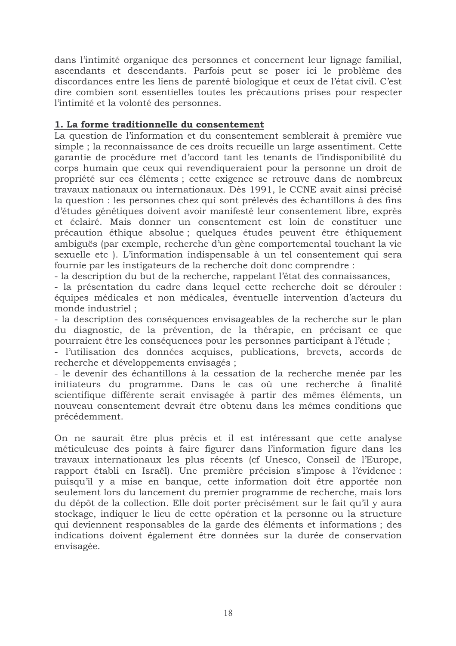dans l'intimité organique des personnes et concernent leur lignage familial, ascendants et descendants. Parfois peut se poser ici le problème des discordances entre les liens de parenté biologique et ceux de l'état civil. C'est dire combien sont essentielles toutes les précautions prises pour respecter l'intimité et la volonté des personnes.

## 1. La forme traditionnelle du consentement

La question de l'information et du consentement semblerait à première vue simple ; la reconnaissance de ces droits recueille un large assentiment. Cette garantie de procédure met d'accord tant les tenants de l'indisponibilité du corps humain que ceux qui revendiqueraient pour la personne un droit de propriété sur ces éléments ; cette exigence se retrouve dans de nombreux travaux nationaux ou internationaux. Dès 1991, le CCNE avait ainsi précisé la question : les personnes chez qui sont prélevés des échantillons à des fins d'études génétiques doivent avoir manifesté leur consentement libre, exprès et éclairé. Mais donner un consentement est loin de constituer une précaution éthique absolue; quelques études peuvent être éthiquement ambiguës (par exemple, recherche d'un gène comportemental touchant la vie sexuelle etc). L'information indispensable à un tel consentement qui sera fournie par les instigateurs de la recherche doit donc comprendre :

- la description du but de la recherche, rappelant l'état des connaissances,

- la présentation du cadre dans lequel cette recherche doit se dérouler : équipes médicales et non médicales, éventuelle intervention d'acteurs du monde industriel :

- la description des conséquences envisageables de la recherche sur le plan du diagnostic, de la prévention, de la thérapie, en précisant ce que pourraient être les conséquences pour les personnes participant à l'étude;

- l'utilisation des données acquises, publications, brevets, accords de recherche et développements envisagés ;

- le devenir des échantillons à la cessation de la recherche menée par les initiateurs du programme. Dans le cas où une recherche à finalité scientifique différente serait envisagée à partir des mêmes éléments, un nouveau consentement devrait être obtenu dans les mêmes conditions que précédemment.

On ne saurait être plus précis et il est intéressant que cette analyse méticuleuse des points à faire figurer dans l'information figure dans les travaux internationaux les plus récents (cf Unesco, Conseil de l'Europe, rapport établi en Israël). Une première précision s'impose à l'évidence : puisqu'il y a mise en banque, cette information doit être apportée non seulement lors du lancement du premier programme de recherche, mais lors du dépôt de la collection. Elle doit porter précisément sur le fait qu'il y aura stockage, indiquer le lieu de cette opération et la personne ou la structure qui deviennent responsables de la garde des éléments et informations : des indications doivent également être données sur la durée de conservation envisagée.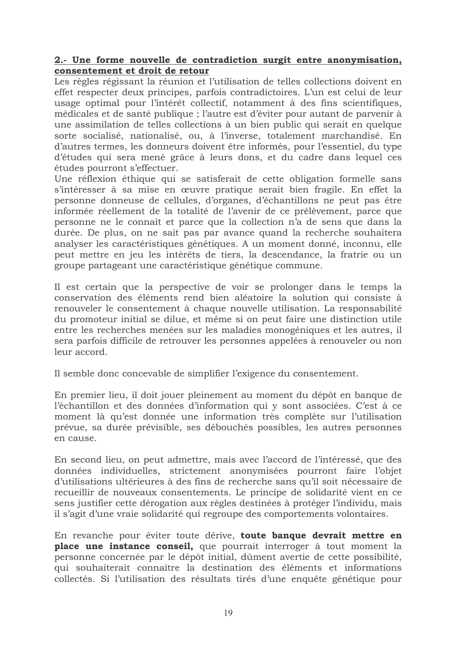#### 2.- Une forme nouvelle de contradiction surgit entre anonymisation, consentement et droit de retour

Les règles régissant la réunion et l'utilisation de telles collections doivent en effet respecter deux principes, parfois contradictoires. L'un est celui de leur usage optimal pour l'intérêt collectif, notamment à des fins scientifiques, médicales et de santé publique : l'autre est d'éviter pour autant de parvenir à une assimilation de telles collections à un bien public qui serait en quelque sorte socialisé, nationalisé, ou, à l'inverse, totalement marchandisé. En d'autres termes, les donneurs doivent être informés, pour l'essentiel, du type d'études qui sera mené grâce à leurs dons, et du cadre dans lequel ces études pourront s'effectuer.

Une réflexion éthique qui se satisferait de cette obligation formelle sans s'intéresser à sa mise en œuvre pratique serait bien fragile. En effet la personne donneuse de cellules, d'organes, d'échantillons ne peut pas être informée réellement de la totalité de l'avenir de ce prélèvement, parce que personne ne le connaît et parce que la collection n'a de sens que dans la durée. De plus, on ne sait pas par avance quand la recherche souhaitera analyser les caractéristiques génétiques. A un moment donné, inconnu, elle peut mettre en jeu les intérêts de tiers, la descendance, la fratrie ou un groupe partageant une caractéristique génétique commune.

Il est certain que la perspective de voir se prolonger dans le temps la conservation des éléments rend bien aléatoire la solution qui consiste à renouveler le consentement à chaque nouvelle utilisation. La responsabilité du promoteur initial se dilue, et même si on peut faire une distinction utile entre les recherches menées sur les maladies monogéniques et les autres, il sera parfois difficile de retrouver les personnes appelées à renouveler ou non leur accord.

Il semble donc concevable de simplifier l'exigence du consentement.

En premier lieu, il doit jouer pleinement au moment du dépôt en banque de l'échantillon et des données d'information qui y sont associées. C'est à ce moment là qu'est donnée une information très complète sur l'utilisation prévue, sa durée prévisible, ses débouchés possibles, les autres personnes en cause.

En second lieu, on peut admettre, mais avec l'accord de l'intéressé, que des données individuelles, strictement anonymisées pourront faire l'objet d'utilisations ultérieures à des fins de recherche sans qu'il soit nécessaire de recueillir de nouveaux consentements. Le principe de solidarité vient en ce sens justifier cette dérogation aux règles destinées à protéger l'individu, mais il s'agit d'une vraie solidarité qui regroupe des comportements volontaires.

En revanche pour éviter toute dérive, toute banque devrait mettre en place une instance conseil, que pourrait interroger à tout moment la personne concernée par le dépôt initial, dûment avertie de cette possibilité, qui souhaiterait connaître la destination des éléments et informations collectés. Si l'utilisation des résultats tirés d'une enquête génétique pour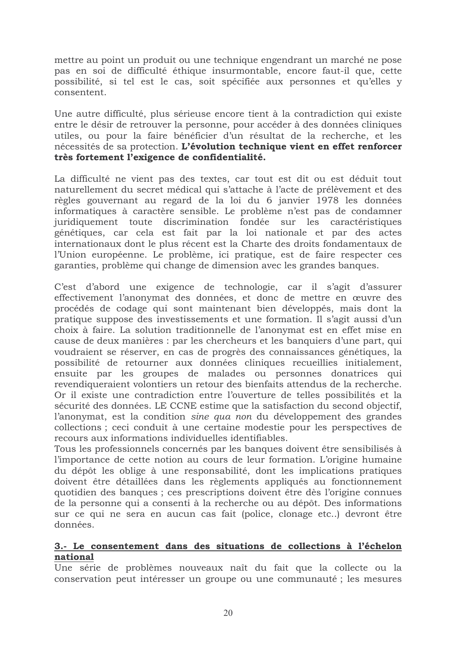mettre au point un produit ou une technique engendrant un marché ne pose pas en soi de difficulté éthique insurmontable, encore faut-il que, cette possibilité, si tel est le cas, soit spécifiée aux personnes et qu'elles y consentent.

Une autre difficulté, plus sérieuse encore tient à la contradiction qui existe entre le désir de retrouver la personne, pour accéder à des données cliniques utiles, ou pour la faire bénéficier d'un résultat de la recherche, et les nécessités de sa protection. L'évolution technique vient en effet renforcer très fortement l'exigence de confidentialité.

La difficulté ne vient pas des textes, car tout est dit ou est déduit tout naturellement du secret médical qui s'attache à l'acte de prélèvement et des règles gouvernant au regard de la loi du 6 janvier 1978 les données informatiques à caractère sensible. Le problème n'est pas de condamner juridiquement toute discrimination fondée sur les caractéristiques génétiques, car cela est fait par la loi nationale et par des actes internationaux dont le plus récent est la Charte des droits fondamentaux de l'Union européenne. Le problème, ici pratique, est de faire respecter ces garanties, problème qui change de dimension avec les grandes banques.

C'est d'abord une exigence de technologie, car il s'agit d'assurer effectivement l'anonymat des données, et donc de mettre en œuvre des procédés de codage qui sont maintenant bien développés, mais dont la pratique suppose des investissements et une formation. Il s'agit aussi d'un choix à faire. La solution traditionnelle de l'anonymat est en effet mise en cause de deux manières : par les chercheurs et les banquiers d'une part, qui voudraient se réserver, en cas de progrès des connaissances génétiques, la possibilité de retourner aux données cliniques recueillies initialement, ensuite par les groupes de malades ou personnes donatrices qui revendiqueraient volontiers un retour des bienfaits attendus de la recherche. Or il existe une contradiction entre l'ouverture de telles possibilités et la sécurité des données. LE CCNE estime que la satisfaction du second objectif, l'anonymat, est la condition sine qua non du développement des grandes collections; ceci conduit à une certaine modestie pour les perspectives de recours aux informations individuelles identifiables.

Tous les professionnels concernés par les banques doivent être sensibilisés à l'importance de cette notion au cours de leur formation. L'origine humaine du dépôt les oblige à une responsabilité, dont les implications pratiques doivent être détaillées dans les règlements appliqués au fonctionnement quotidien des banques ; ces prescriptions doivent être dès l'origine connues de la personne qui a consenti à la recherche ou au dépôt. Des informations sur ce qui ne sera en aucun cas fait (police, clonage etc..) devront être données.

#### 3.- Le consentement dans des situations de collections à l'échelon national

Une série de problèmes nouveaux naît du fait que la collecte ou la conservation peut intéresser un groupe ou une communauté; les mesures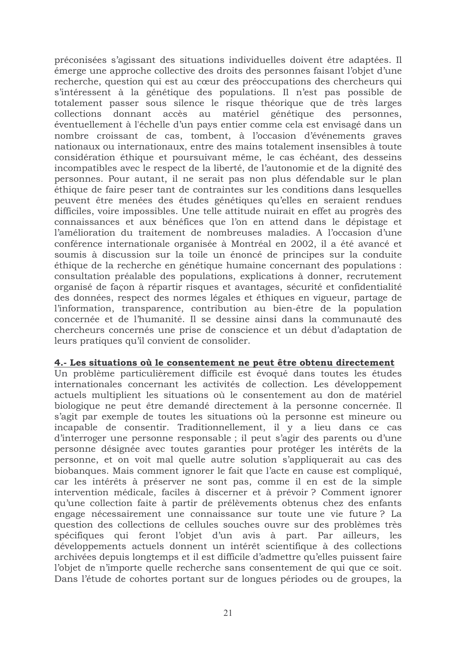préconisées s'agissant des situations individuelles doivent être adaptées. Il émerge une approche collective des droits des personnes faisant l'objet d'une recherche, question qui est au cœur des préoccupations des chercheurs qui s'intéressent à la génétique des populations. Il n'est pas possible de totalement passer sous silence le risque théorique que de très larges collections donnant accès au matériel génétique des personnes. éventuellement à l'échelle d'un pays entier comme cela est envisagé dans un nombre croissant de cas, tombent, à l'occasion d'événements graves nationaux ou internationaux, entre des mains totalement insensibles à toute considération éthique et poursuivant même, le cas échéant, des desseins incompatibles avec le respect de la liberté, de l'autonomie et de la dignité des personnes. Pour autant, il ne serait pas non plus défendable sur le plan éthique de faire peser tant de contraintes sur les conditions dans lesquelles peuvent être menées des études génétiques qu'elles en seraient rendues difficiles, voire impossibles. Une telle attitude nuirait en effet au progrès des connaissances et aux bénéfices que l'on en attend dans le dépistage et l'amélioration du traitement de nombreuses maladies. A l'occasion d'une conférence internationale organisée à Montréal en 2002, il a été avancé et soumis à discussion sur la toile un énoncé de principes sur la conduite éthique de la recherche en génétique humaine concernant des populations : consultation préalable des populations, explications à donner, recrutement organisé de façon à répartir risques et avantages, sécurité et confidentialité des données, respect des normes légales et éthiques en vigueur, partage de l'information, transparence, contribution au bien-être de la population concernée et de l'humanité. Il se dessine ainsi dans la communauté des chercheurs concernés une prise de conscience et un début d'adaptation de leurs pratiques qu'il convient de consolider.

#### 4.- Les situations où le consentement ne peut être obtenu directement

Un problème particulièrement difficile est évoqué dans toutes les études internationales concernant les activités de collection. Les développement actuels multiplient les situations où le consentement au don de matériel biologique ne peut être demandé directement à la personne concernée. Il s'agit par exemple de toutes les situations où la personne est mineure ou incapable de consentir. Traditionnellement, il y a lieu dans ce cas d'interroger une personne responsable ; il peut s'agir des parents ou d'une personne désignée avec toutes garanties pour protéger les intérêts de la personne, et on voit mal quelle autre solution s'appliquerait au cas des biobanques. Mais comment ignorer le fait que l'acte en cause est compliqué, car les intérêts à préserver ne sont pas, comme il en est de la simple intervention médicale, faciles à discerner et à prévoir ? Comment ignorer qu'une collection faite à partir de prélèvements obtenus chez des enfants engage nécessairement une connaissance sur toute une vie future? La question des collections de cellules souches ouvre sur des problèmes très spécifiques qui feront l'obiet d'un avis à part. Par ailleurs, les développements actuels donnent un intérêt scientifique à des collections archivées depuis longtemps et il est difficile d'admettre qu'elles puissent faire l'objet de n'importe quelle recherche sans consentement de qui que ce soit. Dans l'étude de cohortes portant sur de longues périodes ou de groupes, la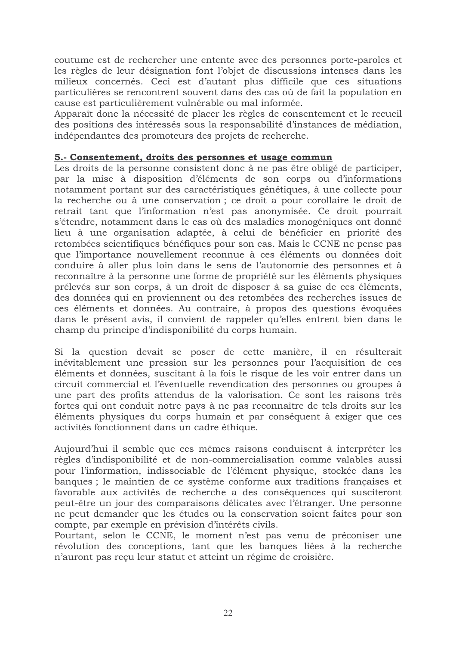coutume est de rechercher une entente avec des personnes porte-paroles et les règles de leur désignation font l'objet de discussions intenses dans les milieux concernés. Ceci est d'autant plus difficile que ces situations particulières se rencontrent souvent dans des cas où de fait la population en cause est particulièrement vulnérable ou mal informée.

Apparaît donc la nécessité de placer les règles de consentement et le recueil des positions des intéressés sous la responsabilité d'instances de médiation, indépendantes des promoteurs des projets de recherche.

### 5.- Consentement, droits des personnes et usage commun

Les droits de la personne consistent donc à ne pas être obligé de participer, par la mise à disposition d'éléments de son corps ou d'informations notamment portant sur des caractéristiques génétiques, à une collecte pour la recherche ou à une conservation ; ce droit a pour corollaire le droit de retrait tant que l'information n'est pas anonymisée. Ce droit pourrait s'étendre, notamment dans le cas où des maladies monogéniques ont donné lieu à une organisation adaptée, à celui de bénéficier en priorité des retombées scientifiques bénéfiques pour son cas. Mais le CCNE ne pense pas que l'importance nouvellement reconnue à ces éléments ou données doit conduire à aller plus loin dans le sens de l'autonomie des personnes et à reconnaître à la personne une forme de propriété sur les éléments physiques prélevés sur son corps, à un droit de disposer à sa guise de ces éléments, des données qui en proviennent ou des retombées des recherches issues de ces éléments et données. Au contraire, à propos des questions évoquées dans le présent avis, il convient de rappeler qu'elles entrent bien dans le champ du principe d'indisponibilité du corps humain.

Si la question devait se poser de cette manière, il en résulterait inévitablement une pression sur les personnes pour l'acquisition de ces éléments et données, suscitant à la fois le risque de les voir entrer dans un circuit commercial et l'éventuelle revendication des personnes ou groupes à une part des profits attendus de la valorisation. Ce sont les raisons très fortes qui ont conduit notre pays à ne pas reconnaître de tels droits sur les éléments physiques du corps humain et par conséquent à exiger que ces activités fonctionnent dans un cadre éthique.

Aujourd'hui il semble que ces mêmes raisons conduisent à interpréter les règles d'indisponibilité et de non-commercialisation comme valables aussi pour l'information, indissociable de l'élément physique, stockée dans les banques ; le maintien de ce système conforme aux traditions françaises et favorable aux activités de recherche a des conséquences qui susciteront peut-être un jour des comparaisons délicates avec l'étranger. Une personne ne peut demander que les études ou la conservation soient faites pour son compte, par exemple en prévision d'intérêts civils.

Pourtant, selon le CCNE, le moment n'est pas venu de préconiser une révolution des conceptions, tant que les banques liées à la recherche n'auront pas reçu leur statut et atteint un régime de croisière.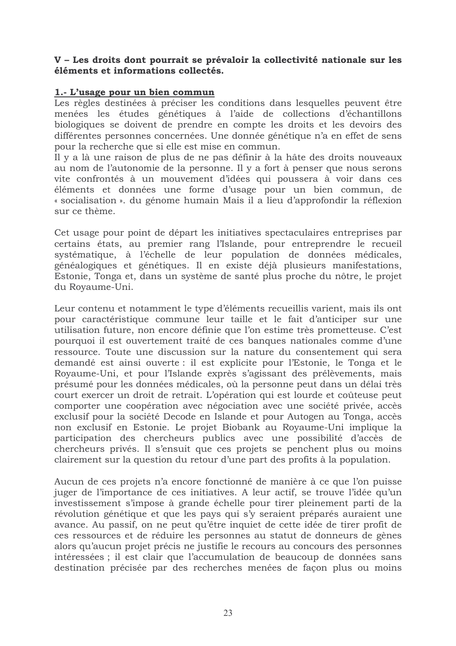#### V - Les droits dont pourrait se prévaloir la collectivité nationale sur les éléments et informations collectés.

### 1.- L'usage pour un bien commun

Les règles destinées à préciser les conditions dans lesquelles peuvent être menées les études génétiques à l'aide de collections d'échantillons biologiques se doivent de prendre en compte les droits et les devoirs des différentes personnes concernées. Une donnée génétique n'a en effet de sens pour la recherche que si elle est mise en commun.

Il y a là une raison de plus de ne pas définir à la hâte des droits nouveaux au nom de l'autonomie de la personne. Il y a fort à penser que nous serons vite confrontés à un mouvement d'idées qui poussera à voir dans ces éléments et données une forme d'usage pour un bien commun, de « socialisation ». du génome humain Mais il a lieu d'approfondir la réflexion sur ce thème.

Cet usage pour point de départ les initiatives spectaculaires entreprises par certains états, au premier rang l'Islande, pour entreprendre le recueil systématique, à l'échelle de leur population de données médicales, généalogiques et génétiques. Il en existe déjà plusieurs manifestations, Estonie, Tonga et, dans un système de santé plus proche du nôtre, le projet du Rovaume-Uni.

Leur contenu et notamment le type d'éléments recueillis varient, mais ils ont pour caractéristique commune leur taille et le fait d'anticiper sur une utilisation future, non encore définie que l'on estime très prometteuse. C'est pourquoi il est ouvertement traité de ces banques nationales comme d'une ressource. Toute une discussion sur la nature du consentement qui sera demandé est ainsi ouverte : il est explicite pour l'Estonie, le Tonga et le Royaume-Uni, et pour l'Islande exprès s'agissant des prélèvements, mais présumé pour les données médicales, où la personne peut dans un délai très court exercer un droit de retrait. L'opération qui est lourde et coûteuse peut comporter une coopération avec négociation avec une société privée, accès exclusif pour la société Decode en Islande et pour Autogen au Tonga, accès non exclusif en Estonie. Le projet Biobank au Royaume-Uni implique la participation des chercheurs publics avec une possibilité d'accès de chercheurs privés. Il s'ensuit que ces projets se penchent plus ou moins clairement sur la question du retour d'une part des profits à la population.

Aucun de ces projets n'a encore fonctionné de manière à ce que l'on puisse juger de l'importance de ces initiatives. A leur actif, se trouve l'idée qu'un investissement s'impose à grande échelle pour tirer pleinement parti de la révolution génétique et que les pays qui s'y seraient préparés auraient une avance. Au passif, on ne peut qu'être inquiet de cette idée de tirer profit de ces ressources et de réduire les personnes au statut de donneurs de gènes alors qu'aucun projet précis ne justifie le recours au concours des personnes intéressées ; il est clair que l'accumulation de beaucoup de données sans destination précisée par des recherches menées de façon plus ou moins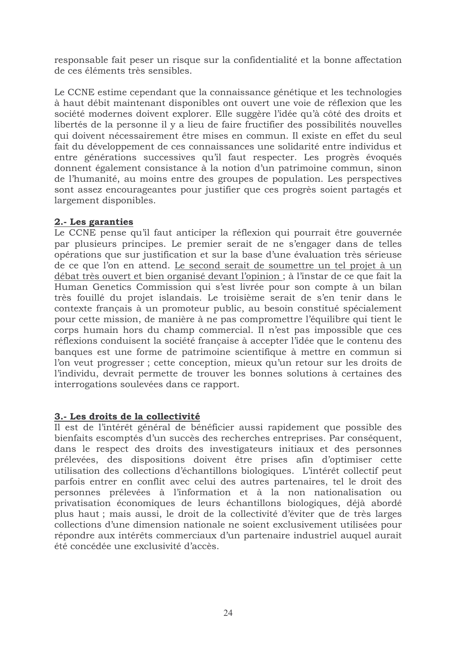responsable fait peser un risque sur la confidentialité et la bonne affectation de ces éléments très sensibles.

Le CCNE estime cependant que la connaissance génétique et les technologies à haut débit maintenant disponibles ont ouvert une voie de réflexion que les société modernes doivent explorer. Elle suggère l'idée qu'à côté des droits et libertés de la personne il y a lieu de faire fructifier des possibilités nouvelles qui doivent nécessairement être mises en commun. Il existe en effet du seul fait du développement de ces connaissances une solidarité entre individus et entre générations successives qu'il faut respecter. Les progrès évoqués donnent également consistance à la notion d'un patrimoine commun, sinon de l'humanité, au moins entre des groupes de population. Les perspectives sont assez encourageantes pour justifier que ces progrès soient partagés et largement disponibles.

## 2.- Les garanties

Le CCNE pense qu'il faut anticiper la réflexion qui pourrait être gouvernée par plusieurs principes. Le premier serait de ne s'engager dans de telles opérations que sur justification et sur la base d'une évaluation très sérieuse de ce que l'on en attend. Le second serait de soumettre un tel projet à un débat très ouvert et bien organisé devant l'opinion; à l'instar de ce que fait la Human Genetics Commission qui s'est livrée pour son compte à un bilan très fouillé du projet islandais. Le troisième serait de s'en tenir dans le contexte français à un promoteur public, au besoin constitué spécialement pour cette mission, de manière à ne pas compromettre l'équilibre qui tient le corps humain hors du champ commercial. Il n'est pas impossible que ces réflexions conduisent la société française à accepter l'idée que le contenu des banques est une forme de patrimoine scientifique à mettre en commun si l'on veut progresser ; cette conception, mieux qu'un retour sur les droits de l'individu, devrait permette de trouver les bonnes solutions à certaines des interrogations soulevées dans ce rapport.

## 3.- Les droits de la collectivité

Il est de l'intérêt général de bénéficier aussi rapidement que possible des bienfaits escomptés d'un succès des recherches entreprises. Par conséquent, dans le respect des droits des investigateurs initiaux et des personnes prélevées, des dispositions doivent être prises afin d'optimiser cette utilisation des collections d'échantillons biologiques. L'intérêt collectif peut parfois entrer en conflit avec celui des autres partenaires, tel le droit des personnes prélevées à l'information et à la non nationalisation ou privatisation économiques de leurs échantillons biologiques, déjà abordé plus haut ; mais aussi, le droit de la collectivité d'éviter que de très larges collections d'une dimension nationale ne soient exclusivement utilisées pour répondre aux intérêts commerciaux d'un partenaire industriel auquel aurait été concédée une exclusivité d'accès.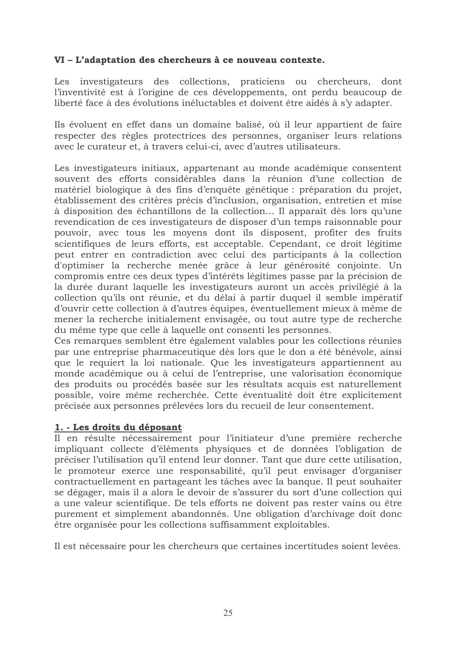## VI – L'adaptation des chercheurs à ce nouveau contexte.

Les investigateurs des collections, praticiens ou chercheurs, dont l'inventivité est à l'origine de ces développements, ont perdu beaucoup de liberté face à des évolutions inéluctables et doivent être aidés à s'y adapter.

Ils évoluent en effet dans un domaine balisé, où il leur appartient de faire respecter des règles protectrices des personnes, organiser leurs relations avec le curateur et, à travers celui-ci, avec d'autres utilisateurs.

Les investigateurs initiaux, appartenant au monde académique consentent souvent des efforts considérables dans la réunion d'une collection de matériel biologique à des fins d'enquête génétique : préparation du projet, établissement des critères précis d'inclusion, organisation, entretien et mise à disposition des échantillons de la collection... Il apparaît dès lors qu'une revendication de ces investigateurs de disposer d'un temps raisonnable pour pouvoir, avec tous les moyens dont ils disposent, profiter des fruits scientifiques de leurs efforts, est acceptable. Cependant, ce droit légitime peut entrer en contradiction avec celui des participants à la collection d'optimiser la recherche menée grâce à leur générosité conjointe. Un compromis entre ces deux types d'intérêts légitimes passe par la précision de la durée durant laquelle les investigateurs auront un accès privilégié à la collection qu'ils ont réunie, et du délai à partir duquel il semble impératif d'ouvrir cette collection à d'autres équipes, éventuellement mieux à même de mener la recherche initialement envisagée, ou tout autre type de recherche du même type que celle à laquelle ont consenti les personnes.

Ces remarques semblent être également valables pour les collections réunies par une entreprise pharmaceutique dès lors que le don a été bénévole, ainsi que le requiert la loi nationale. Que les investigateurs appartiennent au monde académique ou à celui de l'entreprise, une valorisation économique des produits ou procédés basée sur les résultats acquis est naturellement possible, voire même recherchée. Cette éventualité doit être explicitement précisée aux personnes prélevées lors du recueil de leur consentement.

#### 1. - Les droits du déposant

Il en résulte nécessairement pour l'initiateur d'une première recherche impliquant collecte d'éléments physiques et de données l'obligation de préciser l'utilisation qu'il entend leur donner. Tant que dure cette utilisation, le promoteur exerce une responsabilité, qu'il peut envisager d'organiser contractuellement en partageant les tâches avec la banque. Il peut souhaiter se dégager, mais il a alors le devoir de s'assurer du sort d'une collection qui a une valeur scientifique. De tels efforts ne doivent pas rester vains ou être purement et simplement abandonnés. Une obligation d'archivage doit donc être organisée pour les collections suffisamment exploitables.

Il est nécessaire pour les chercheurs que certaines incertitudes soient levées.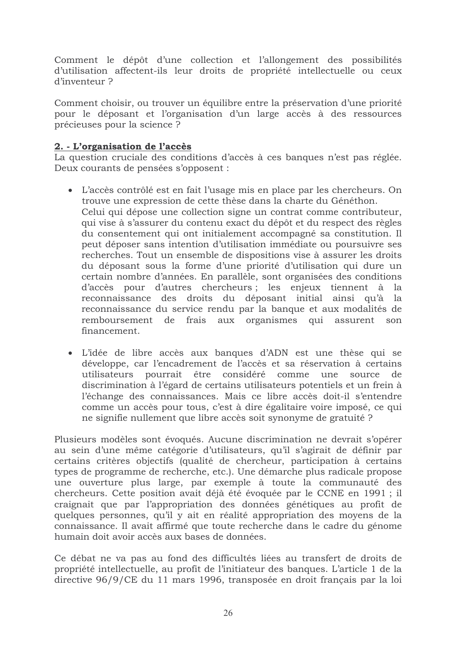Comment le dépôt d'une collection et l'allongement des possibilités d'utilisation affectent-ils leur droits de propriété intellectuelle ou ceux d'inventeur?

Comment choisir, ou trouver un équilibre entre la préservation d'une priorité pour le déposant et l'organisation d'un large accès à des ressources précieuses pour la science ?

# 2. - L'organisation de l'accès

La question cruciale des conditions d'accès à ces banques n'est pas réglée. Deux courants de pensées s'opposent :

- L'accès contrôlé est en fait l'usage mis en place par les chercheurs. On trouve une expression de cette thèse dans la charte du Généthon. Celui qui dépose une collection signe un contrat comme contributeur, qui vise à s'assurer du contenu exact du dépôt et du respect des règles du consentement qui ont initialement accompagné sa constitution. Il peut déposer sans intention d'utilisation immédiate ou poursuivre ses recherches. Tout un ensemble de dispositions vise à assurer les droits du déposant sous la forme d'une priorité d'utilisation qui dure un certain nombre d'années. En parallèle, sont organisées des conditions d'accès pour d'autres chercheurs; les enjeux tiennent à la reconnaissance des droits du déposant initial ainsi qu'à la reconnaissance du service rendu par la banque et aux modalités de remboursement de frais aux organismes qui assurent son financement
- L'idée de libre accès aux banques d'ADN est une thèse qui se développe, car l'encadrement de l'accès et sa réservation à certains utilisateurs pourrait être considéré comme une source de discrimination à l'égard de certains utilisateurs potentiels et un frein à l'échange des connaissances. Mais ce libre accès doit-il s'entendre comme un accès pour tous, c'est à dire égalitaire voire imposé, ce qui ne signifie nullement que libre accès soit synonyme de gratuité ?

Plusieurs modèles sont évoqués. Aucune discrimination ne devrait s'opérer au sein d'une même catégorie d'utilisateurs, qu'il s'agirait de définir par certains critères objectifs (qualité de chercheur, participation à certains types de programme de recherche, etc.). Une démarche plus radicale propose une ouverture plus large, par exemple à toute la communauté des chercheurs. Cette position avait déjà été évoquée par le CCNE en 1991 ; il craignait que par l'appropriation des données génétiques au profit de quelques personnes, qu'il y ait en réalité appropriation des moyens de la connaissance. Il avait affirmé que toute recherche dans le cadre du génome humain doit avoir accès aux bases de données.

Ce débat ne va pas au fond des difficultés liées au transfert de droits de propriété intellectuelle, au profit de l'initiateur des banques. L'article 1 de la directive 96/9/CE du 11 mars 1996, transposée en droit français par la loi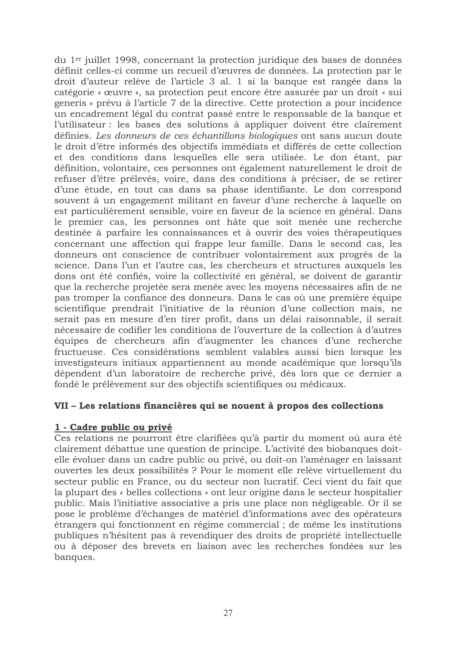du 1<sup>er</sup> juillet 1998, concernant la protection juridique des bases de données définit celles-ci comme un recueil d'œuvres de données. La protection par le droit d'auteur relève de l'article 3 al. 1 si la banque est rangée dans la catégorie « œuvre », sa protection peut encore être assurée par un droit « sui generis » prévu à l'article 7 de la directive. Cette protection a pour incidence un encadrement légal du contrat passé entre le responsable de la banque et l'utilisateur : les bases des solutions à appliquer doivent être clairement définies. Les donneurs de ces échantillons biologiques ont sans aucun doute le droit d'être informés des objectifs immédiats et différés de cette collection et des conditions dans lesquelles elle sera utilisée. Le don étant, par définition, volontaire, ces personnes ont également naturellement le droit de refuser d'être prélevés, voire, dans des conditions à préciser, de se retirer d'une étude, en tout cas dans sa phase identifiante. Le don correspond souvent à un engagement militant en faveur d'une recherche à laquelle on est particulièrement sensible, voire en faveur de la science en général. Dans le premier cas, les personnes ont hâte que soit menée une recherche destinée à parfaire les connaissances et à ouvrir des voies thérapeutiques concernant une affection qui frappe leur famille. Dans le second cas, les donneurs ont conscience de contribuer volontairement aux progrès de la science. Dans l'un et l'autre cas, les chercheurs et structures auxquels les dons ont été confiés, voire la collectivité en général, se doivent de garantir que la recherche projetée sera menée avec les moyens nécessaires afin de ne pas tromper la confiance des donneurs. Dans le cas où une première équipe scientifique prendrait l'initiative de la réunion d'une collection mais, ne serait pas en mesure d'en tirer profit, dans un délai raisonnable, il serait nécessaire de codifier les conditions de l'ouverture de la collection à d'autres équipes de chercheurs afin d'augmenter les chances d'une recherche fructueuse. Ces considérations semblent valables aussi bien lorsque les investigateurs initiaux appartiennent au monde académique que lorsqu'ils dépendent d'un laboratoire de recherche privé, dès lors que ce dernier a fondé le prélèvement sur des objectifs scientifiques ou médicaux.

#### VII - Les relations financières qui se nouent à propos des collections

#### 1 - Cadre public ou privé

Ces relations ne pourront être clarifiées qu'à partir du moment où aura été clairement débattue une question de principe. L'activité des biobanques doitelle évoluer dans un cadre public ou privé, ou doit-on l'aménager en laissant ouvertes les deux possibilités ? Pour le moment elle relève virtuellement du secteur public en France, ou du secteur non lucratif. Ceci vient du fait que la plupart des « belles collections » ont leur origine dans le secteur hospitalier public. Mais l'initiative associative a pris une place non négligeable. Or il se pose le problème d'échanges de matériel d'informations avec des opérateurs étrangers qui fonctionnent en régime commercial : de même les institutions publiques n'hésitent pas à revendiquer des droits de propriété intellectuelle ou à déposer des brevets en liaison avec les recherches fondées sur les banques.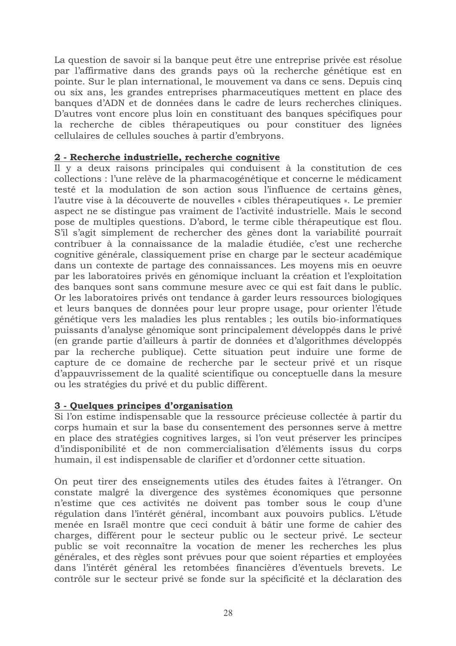La question de savoir si la banque peut être une entreprise privée est résolue par l'affirmative dans des grands pays où la recherche génétique est en pointe. Sur le plan international, le mouvement va dans ce sens. Depuis cinq ou six ans, les grandes entreprises pharmaceutiques mettent en place des banques d'ADN et de données dans le cadre de leurs recherches cliniques. D'autres vont encore plus loin en constituant des banques spécifiques pour la recherche de cibles thérapeutiques ou pour constituer des lignées cellulaires de cellules souches à partir d'embryons.

### 2 - Recherche industrielle, recherche cognitive

Il y a deux raisons principales qui conduisent à la constitution de ces collections : l'une relève de la pharmacogénétique et concerne le médicament testé et la modulation de son action sous l'influence de certains gènes, l'autre vise à la découverte de nouvelles « cibles thérapeutiques ». Le premier aspect ne se distingue pas vraiment de l'activité industrielle. Mais le second pose de multiples questions. D'abord, le terme cible thérapeutique est flou. S'il s'agit simplement de rechercher des gènes dont la variabilité pourrait contribuer à la connaissance de la maladie étudiée, c'est une recherche cognitive générale, classiquement prise en charge par le secteur académique dans un contexte de partage des connaissances. Les moyens mis en oeuvre par les laboratoires privés en génomique incluant la création et l'exploitation des banques sont sans commune mesure avec ce qui est fait dans le public. Or les laboratoires privés ont tendance à garder leurs ressources biologiques et leurs banques de données pour leur propre usage, pour orienter l'étude génétique vers les maladies les plus rentables ; les outils bio-informatiques puissants d'analyse génomique sont principalement développés dans le privé (en grande partie d'ailleurs à partir de données et d'algorithmes développés par la recherche publique). Cette situation peut induire une forme de capture de ce domaine de recherche par le secteur privé et un risque d'appauvrissement de la qualité scientifique ou conceptuelle dans la mesure ou les stratégies du privé et du public diffèrent.

## 3 - Quelques principes d'organisation

Si l'on estime indispensable que la ressource précieuse collectée à partir du corps humain et sur la base du consentement des personnes serve à mettre en place des stratégies cognitives larges, si l'on veut préserver les principes d'indisponibilité et de non commercialisation d'éléments issus du corps humain, il est indispensable de clarifier et d'ordonner cette situation.

On peut tirer des enseignements utiles des études faites à l'étranger. On constate malgré la divergence des systèmes économiques que personne n'estime que ces activités ne doivent pas tomber sous le coup d'une régulation dans l'intérêt général, incombant aux pouvoirs publics. L'étude menée en Israël montre que ceci conduit à bâtir une forme de cahier des charges, différent pour le secteur public ou le secteur privé. Le secteur public se voit reconnaître la vocation de mener les recherches les plus générales, et des règles sont prévues pour que soient réparties et employées dans l'intérêt général les retombées financières d'éventuels brevets. Le contrôle sur le secteur privé se fonde sur la spécificité et la déclaration des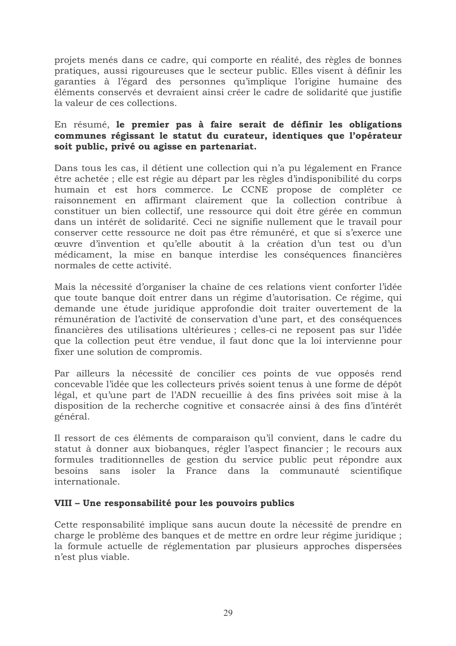projets menés dans ce cadre, qui comporte en réalité, des règles de bonnes pratiques, aussi rigoureuses que le secteur public. Elles visent à définir les garanties à l'égard des personnes qu'implique l'origine humaine des éléments conservés et devraient ainsi créer le cadre de solidarité que justifie la valeur de ces collections.

## En résumé, le premier pas à faire serait de définir les obligations communes régissant le statut du curateur, identiques que l'opérateur soit public, privé ou agisse en partenariat.

Dans tous les cas, il détient une collection qui n'a pu légalement en France être achetée; elle est régie au départ par les règles d'indisponibilité du corps humain et est hors commerce. Le CCNE propose de compléter ce raisonnement en affirmant clairement que la collection contribue à constituer un bien collectif, une ressource qui doit être gérée en commun dans un intérêt de solidarité. Ceci ne signifie nullement que le travail pour conserver cette ressource ne doit pas être rémunéré, et que si s'exerce une œuvre d'invention et qu'elle aboutit à la création d'un test ou d'un médicament, la mise en banque interdise les conséquences financières normales de cette activité.

Mais la nécessité d'organiser la chaîne de ces relations vient conforter l'idée que toute banque doit entrer dans un régime d'autorisation. Ce régime, qui demande une étude juridique approfondie doit traiter ouvertement de la rémunération de l'activité de conservation d'une part, et des conséquences financières des utilisations ultérieures ; celles-ci ne reposent pas sur l'idée que la collection peut être vendue, il faut donc que la loi intervienne pour fixer une solution de compromis.

Par ailleurs la nécessité de concilier ces points de vue opposés rend concevable l'idée que les collecteurs privés soient tenus à une forme de dépôt légal, et qu'une part de l'ADN recueillie à des fins privées soit mise à la disposition de la recherche cognitive et consacrée ainsi à des fins d'intérêt général.

Il ressort de ces éléments de comparaison qu'il convient, dans le cadre du statut à donner aux biobanques, régler l'aspect financier ; le recours aux formules traditionnelles de gestion du service public peut répondre aux besoins sans isoler la France dans la communauté scientifique internationale.

## VIII - Une responsabilité pour les pouvoirs publics

Cette responsabilité implique sans aucun doute la nécessité de prendre en charge le problème des banques et de mettre en ordre leur régime juridique ; la formule actuelle de réglementation par plusieurs approches dispersées n'est plus viable.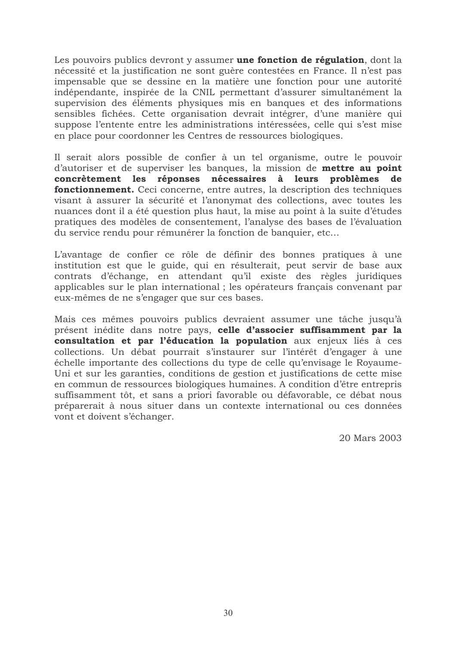Les pouvoirs publics devront y assumer une fonction de régulation, dont la nécessité et la justification ne sont guère contestées en France. Il n'est pas impensable que se dessine en la matière une fonction pour une autorité indépendante, inspirée de la CNIL permettant d'assurer simultanément la supervision des éléments physiques mis en banques et des informations sensibles fichées. Cette organisation devrait intégrer, d'une manière qui suppose l'entente entre les administrations intéressées, celle qui s'est mise en place pour coordonner les Centres de ressources biologiques.

Il serait alors possible de confier à un tel organisme, outre le pouvoir d'autoriser et de superviser les banques, la mission de mettre au point concrètement les réponses nécessaires à leurs problèmes de fonctionnement. Ceci concerne, entre autres, la description des techniques visant à assurer la sécurité et l'anonymat des collections, avec toutes les nuances dont il a été question plus haut, la mise au point à la suite d'études pratiques des modèles de consentement, l'analyse des bases de l'évaluation du service rendu pour rémunérer la fonction de banquier, etc...

L'avantage de confier ce rôle de définir des bonnes pratiques à une institution est que le guide, qui en résulterait, peut servir de base aux contrats d'échange, en attendant qu'il existe des règles juridiques applicables sur le plan international ; les opérateurs français convenant par eux-mêmes de ne s'engager que sur ces bases.

Mais ces mêmes pouvoirs publics devraient assumer une tâche jusqu'à présent inédite dans notre pays, celle d'associer suffisamment par la consultation et par l'éducation la population aux enjeux liés à ces collections. Un débat pourrait s'instaurer sur l'intérêt d'engager à une échelle importante des collections du type de celle qu'envisage le Royaume-Uni et sur les garanties, conditions de gestion et justifications de cette mise en commun de ressources biologiques humaines. A condition d'être entrepris suffisamment tôt, et sans a priori favorable ou défavorable, ce débat nous préparerait à nous situer dans un contexte international ou ces données vont et doivent s'échanger.

20 Mars 2003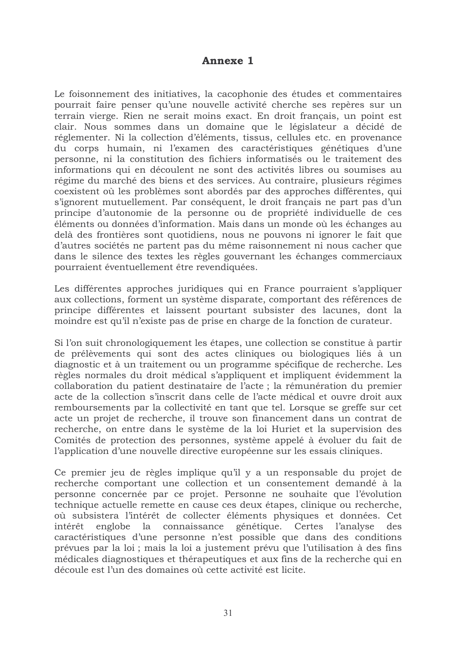# **Annexe 1**

Le foisonnement des initiatives, la cacophonie des études et commentaires pourrait faire penser qu'une nouvelle activité cherche ses repères sur un terrain vierge. Rien ne serait moins exact. En droit français, un point est clair. Nous sommes dans un domaine que le législateur a décidé de réglementer. Ni la collection d'éléments, tissus, cellules etc. en provenance du corps humain, ni l'examen des caractéristiques génétiques d'une personne, ni la constitution des fichiers informatisés ou le traitement des informations qui en découlent ne sont des activités libres ou soumises au régime du marché des biens et des services. Au contraire, plusieurs régimes coexistent où les problèmes sont abordés par des approches différentes, qui s'ignorent mutuellement. Par conséquent, le droit français ne part pas d'un principe d'autonomie de la personne ou de propriété individuelle de ces éléments ou données d'information. Mais dans un monde où les échanges au delà des frontières sont quotidiens, nous ne pouvons ni ignorer le fait que d'autres sociétés ne partent pas du même raisonnement ni nous cacher que dans le silence des textes les règles gouvernant les échanges commerciaux pourraient éventuellement être revendiquées.

Les différentes approches juridiques qui en France pourraient s'appliquer aux collections, forment un système disparate, comportant des références de principe différentes et laissent pourtant subsister des lacunes, dont la moindre est qu'il n'existe pas de prise en charge de la fonction de curateur.

Si l'on suit chronologiquement les étapes, une collection se constitue à partir de prélèvements qui sont des actes cliniques ou biologiques liés à un diagnostic et à un traitement ou un programme spécifique de recherche. Les règles normales du droit médical s'appliquent et impliquent évidemment la collaboration du patient destinataire de l'acte ; la rémunération du premier acte de la collection s'inscrit dans celle de l'acte médical et ouvre droit aux remboursements par la collectivité en tant que tel. Lorsque se greffe sur cet acte un projet de recherche, il trouve son financement dans un contrat de recherche, on entre dans le système de la loi Huriet et la supervision des Comités de protection des personnes, système appelé à évoluer du fait de l'application d'une nouvelle directive européenne sur les essais cliniques.

Ce premier jeu de règles implique qu'il y a un responsable du projet de recherche comportant une collection et un consentement demandé à la personne concernée par ce projet. Personne ne souhaite que l'évolution technique actuelle remette en cause ces deux étapes, clinique ou recherche, où subsistera l'intérêt de collecter éléments physiques et données. Cet englobe la connaissance génétique. Certes l'analyse des intérêt caractéristiques d'une personne n'est possible que dans des conditions prévues par la loi ; mais la loi a justement prévu que l'utilisation à des fins médicales diagnostiques et thérapeutiques et aux fins de la recherche qui en découle est l'un des domaines où cette activité est licite.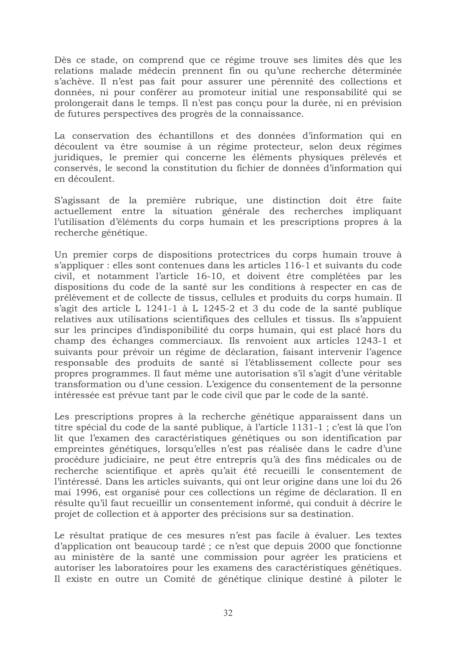Dès ce stade, on comprend que ce régime trouve ses limites dès que les relations malade médecin prennent fin ou qu'une recherche déterminée s'achève. Il n'est pas fait pour assurer une pérennité des collections et données, ni pour conférer au promoteur initial une responsabilité qui se prolongerait dans le temps. Il n'est pas conçu pour la durée, ni en prévision de futures perspectives des progrès de la connaissance.

La conservation des échantillons et des données d'information qui en découlent va être soumise à un régime protecteur, selon deux régimes juridiques, le premier qui concerne les éléments physiques prélevés et conservés, le second la constitution du fichier de données d'information qui en découlent.

S'agissant de la première rubrique, une distinction doit être faite actuellement entre la situation générale des recherches impliquant l'utilisation d'éléments du corps humain et les prescriptions propres à la recherche génétique.

Un premier corps de dispositions protectrices du corps humain trouve à s'appliquer : elles sont contenues dans les articles 116-1 et suivants du code civil, et notamment l'article 16-10, et doivent être complétées par les dispositions du code de la santé sur les conditions à respecter en cas de prélèvement et de collecte de tissus, cellules et produits du corps humain. Il s'agit des article L 1241-1 à L 1245-2 et 3 du code de la santé publique relatives aux utilisations scientifiques des cellules et tissus. Ils s'appuient sur les principes d'indisponibilité du corps humain, qui est placé hors du champ des échanges commerciaux. Ils renvoient aux articles 1243-1 et suivants pour prévoir un régime de déclaration, faisant intervenir l'agence responsable des produits de santé si l'établissement collecte pour ses propres programmes. Il faut même une autorisation s'il s'agit d'une véritable transformation ou d'une cession. L'exigence du consentement de la personne intéressée est prévue tant par le code civil que par le code de la santé.

Les prescriptions propres à la recherche génétique apparaissent dans un titre spécial du code de la santé publique, à l'article 1131-1; c'est là que l'on lit que l'examen des caractéristiques génétiques ou son identification par empreintes génétiques, lorsqu'elles n'est pas réalisée dans le cadre d'une procédure judiciaire, ne peut être entrepris qu'à des fins médicales ou de recherche scientifique et après qu'ait été recueilli le consentement de l'intéressé. Dans les articles suivants, qui ont leur origine dans une loi du 26 mai 1996, est organisé pour ces collections un régime de déclaration. Il en résulte qu'il faut recueillir un consentement informé, qui conduit à décrire le projet de collection et à apporter des précisions sur sa destination.

Le résultat pratique de ces mesures n'est pas facile à évaluer. Les textes d'application ont beaucoup tardé ; ce n'est que depuis 2000 que fonctionne au ministère de la santé une commission pour agréer les praticiens et autoriser les laboratoires pour les examens des caractéristiques génétiques. Il existe en outre un Comité de génétique clinique destiné à piloter le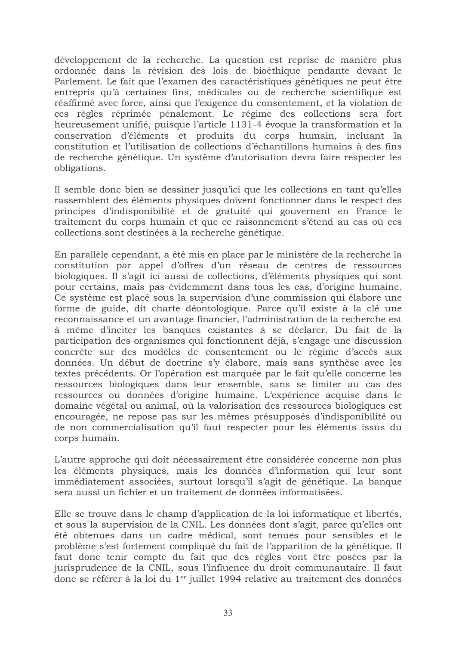développement de la recherche. La question est reprise de manière plus ordonnée dans la révision des lois de bioéthique pendante devant le Parlement. Le fait que l'examen des caractéristiques génétiques ne peut être entrepris qu'à certaines fins, médicales ou de recherche scientifique est réaffirmé avec force, ainsi que l'exigence du consentement, et la violation de ces règles réprimée pénalement. Le régime des collections sera fort heureusement unifié, puisque l'article 1131-4 évoque la transformation et la conservation d'éléments et produits du corps humain, incluant la constitution et l'utilisation de collections d'échantillons humains à des fins de recherche génétique. Un système d'autorisation devra faire respecter les obligations.

Il semble donc bien se dessiner jusqu'ici que les collections en tant qu'elles rassemblent des éléments physiques doivent fonctionner dans le respect des principes d'indisponibilité et de gratuité qui gouvernent en France le traitement du corps humain et que ce raisonnement s'étend au cas où ces collections sont destinées à la recherche génétique.

En parallèle cependant, a été mis en place par le ministère de la recherche la constitution par appel d'offres d'un réseau de centres de ressources biologiques. Il s'agit ici aussi de collections, d'éléments physiques qui sont pour certains, mais pas évidemment dans tous les cas, d'origine humaine. Ce système est placé sous la supervision d'une commission qui élabore une forme de guide, dit charte déontologique. Parce qu'il existe à la clé une reconnaissance et un avantage financier, l'administration de la recherche est à même d'inciter les banques existantes à se déclarer. Du fait de la participation des organismes qui fonctionnent déjà, s'engage une discussion concrète sur des modèles de consentement ou le régime d'accès aux données. Un début de doctrine s'y élabore, mais sans synthèse avec les textes précédents. Or l'opération est marquée par le fait qu'elle concerne les ressources biologiques dans leur ensemble, sans se limiter au cas des ressources ou données d'origine humaine. L'expérience acquise dans le domaine végétal ou animal, où la valorisation des ressources biologiques est encouragée, ne repose pas sur les mêmes présupposés d'indisponibilité ou de non commercialisation qu'il faut respecter pour les éléments issus du corps humain.

L'autre approche qui doit nécessairement être considérée concerne non plus les éléments physiques, mais les données d'information qui leur sont immédiatement associées, surtout lorsqu'il s'agit de génétique. La banque sera aussi un fichier et un traitement de données informatisées.

Elle se trouve dans le champ d'application de la loi informatique et libertés, et sous la supervision de la CNIL. Les données dont s'agit, parce qu'elles ont été obtenues dans un cadre médical, sont tenues pour sensibles et le problème s'est fortement compliqué du fait de l'apparition de la génétique. Il faut donc tenir compte du fait que des règles vont être posées par la jurisprudence de la CNIL, sous l'influence du droit communautaire. Il faut donc se référer à la loi du 1<sup>er</sup> juillet 1994 relative au traitement des données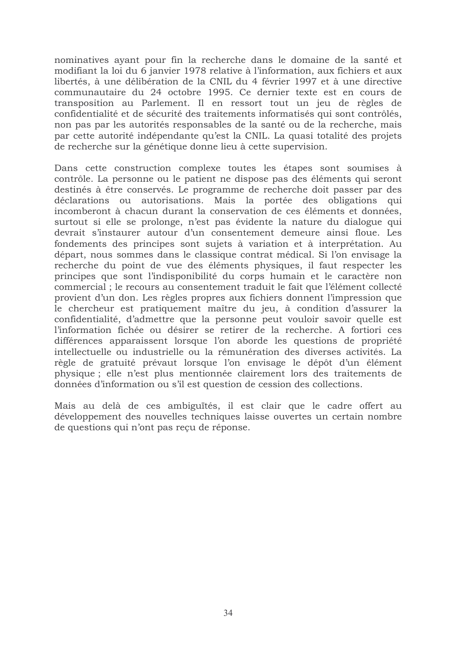nominatives ayant pour fin la recherche dans le domaine de la santé et modifiant la loi du 6 janvier 1978 relative à l'information, aux fichiers et aux libertés, à une délibération de la CNIL du 4 février 1997 et à une directive communautaire du 24 octobre 1995. Ce dernier texte est en cours de transposition au Parlement. Il en ressort tout un jeu de règles de confidentialité et de sécurité des traitements informatisés qui sont contrôlés, non pas par les autorités responsables de la santé ou de la recherche, mais par cette autorité indépendante qu'est la CNIL. La quasi totalité des projets de recherche sur la génétique donne lieu à cette supervision.

Dans cette construction complexe toutes les étapes sont soumises à contrôle. La personne ou le patient ne dispose pas des éléments qui seront destinés à être conservés. Le programme de recherche doit passer par des déclarations ou autorisations. Mais la portée des obligations qui incomberont à chacun durant la conservation de ces éléments et données, surtout si elle se prolonge, n'est pas évidente la nature du dialogue qui devrait s'instaurer autour d'un consentement demeure ainsi floue. Les fondements des principes sont sujets à variation et à interprétation. Au départ, nous sommes dans le classique contrat médical. Si l'on envisage la recherche du point de vue des éléments physiques, il faut respecter les principes que sont l'indisponibilité du corps humain et le caractère non commercial ; le recours au consentement traduit le fait que l'élément collecté provient d'un don. Les règles propres aux fichiers donnent l'impression que le chercheur est pratiquement maître du jeu, à condition d'assurer la confidentialité, d'admettre que la personne peut vouloir savoir quelle est l'information fichée ou désirer se retirer de la recherche. A fortiori ces différences apparaissent lorsque l'on aborde les questions de propriété intellectuelle ou industrielle ou la rémunération des diverses activités. La règle de gratuité prévaut lorsque l'on envisage le dépôt d'un élément physique; elle n'est plus mentionnée clairement lors des traitements de données d'information ou s'il est question de cession des collections.

Mais au delà de ces ambiguïtés, il est clair que le cadre offert au développement des nouvelles techniques laisse ouvertes un certain nombre de questions qui n'ont pas reçu de réponse.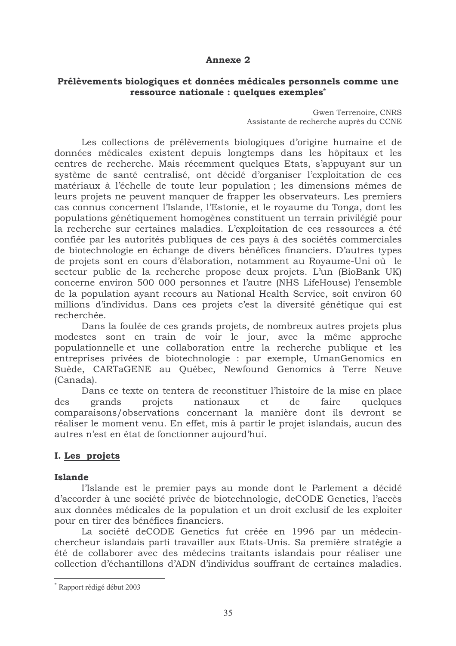#### **Annexe 2**

#### Prélèvements biologiques et données médicales personnels comme une ressource nationale : quelques exemples\*

Gwen Terrenoire, CNRS Assistante de recherche auprès du CCNE

Les collections de prélèvements biologiques d'origine humaine et de données médicales existent depuis longtemps dans les hôpitaux et les centres de recherche. Mais récemment quelques Etats, s'appuyant sur un système de santé centralisé, ont décidé d'organiser l'exploitation de ces matériaux à l'échelle de toute leur population ; les dimensions mêmes de leurs projets ne peuvent manquer de frapper les observateurs. Les premiers cas connus concernent l'Islande, l'Estonie, et le royaume du Tonga, dont les populations génétiquement homogènes constituent un terrain privilégié pour la recherche sur certaines maladies. L'exploitation de ces ressources a été confiée par les autorités publiques de ces pays à des sociétés commerciales de biotechnologie en échange de divers bénéfices financiers. D'autres types de projets sont en cours d'élaboration, notamment au Royaume-Uni où le secteur public de la recherche propose deux projets. L'un (BioBank UK) concerne environ 500 000 personnes et l'autre (NHS LifeHouse) l'ensemble de la population avant recours au National Health Service, soit environ 60 millions d'individus. Dans ces projets c'est la diversité génétique qui est recherchée.

Dans la foulée de ces grands projets, de nombreux autres projets plus modestes sont en train de voir le jour, avec la même approche populationnelle et une collaboration entre la recherche publique et les entreprises privées de biotechnologie : par exemple, UmanGenomics en Suède, CARTaGENE au Québec, Newfound Genomics à Terre Neuve (Canada).

Dans ce texte on tentera de reconstituer l'histoire de la mise en place grands projets nationaux et. de faire quelques des comparaisons/observations concernant la manière dont ils devront se réaliser le moment venu. En effet, mis à partir le projet islandais, aucun des autres n'est en état de fonctionner aujourd'hui.

## I. Les projets

#### **Islande**

l'Islande est le premier pays au monde dont le Parlement a décidé d'accorder à une société privée de biotechnologie, deCODE Genetics, l'accès aux données médicales de la population et un droit exclusif de les exploiter pour en tirer des bénéfices financiers.

La société deCODE Genetics fut créée en 1996 par un médecinchercheur islandais parti travailler aux Etats-Unis. Sa première stratégie a été de collaborer avec des médecins traitants islandais pour réaliser une collection d'échantillons d'ADN d'individus souffrant de certaines maladies.

Rapport rédigé début 2003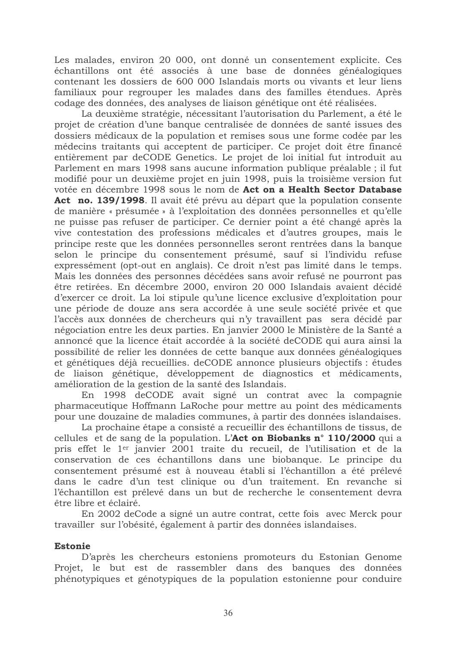Les malades, environ 20 000, ont donné un consentement explicite. Ces échantillons ont été associés à une base de données généalogiques contenant les dossiers de 600 000 Islandais morts ou vivants et leur liens familiaux pour regrouper les malades dans des familles étendues. Après codage des données, des analyses de liaison génétique ont été réalisées.

La deuxième stratégie, nécessitant l'autorisation du Parlement, a été le projet de création d'une banque centralisée de données de santé issues des dossiers médicaux de la population et remises sous une forme codée par les médecins traitants qui acceptent de participer. Ce projet doit être financé entièrement par deCODE Genetics. Le projet de loi initial fut introduit au Parlement en mars 1998 sans aucune information publique préalable ; il fut modifié pour un deuxième projet en juin 1998, puis la troisième version fut votée en décembre 1998 sous le nom de Act on a Health Sector Database Act no. 139/1998. Il avait été prévu au départ que la population consente de manière « présumée » à l'exploitation des données personnelles et qu'elle ne puisse pas refuser de participer. Ce dernier point a été changé après la vive contestation des professions médicales et d'autres groupes, mais le principe reste que les données personnelles seront rentrées dans la banque selon le principe du consentement présumé, sauf si l'individu refuse expressément (opt-out en anglais). Ce droit n'est pas limité dans le temps. Mais les données des personnes décédées sans avoir refusé ne pourront pas être retirées. En décembre 2000, environ 20 000 Islandais avaient décidé d'exercer ce droit. La loi stipule qu'une licence exclusive d'exploitation pour une période de douze ans sera accordée à une seule société privée et que l'accès aux données de chercheurs qui n'y travaillent pas sera décidé par négociation entre les deux parties. En janvier 2000 le Ministère de la Santé a annoncé que la licence était accordée à la société deCODE qui aura ainsi la possibilité de relier les données de cette banque aux données généalogiques et génétiques déjà recueillies. deCODE annonce plusieurs objectifs : études de liaison génétique, développement de diagnostics et médicaments, amélioration de la gestion de la santé des Islandais.

En 1998 deCODE avait signé un contrat avec la compagnie pharmaceutique Hoffmann LaRoche pour mettre au point des médicaments pour une douzaine de maladies communes, à partir des données islandaises.

La prochaine étape a consisté a recueillir des échantillons de tissus, de cellules et de sang de la population. L'Act on Biobanks n° 110/2000 qui a pris effet le 1<sup>er</sup> janvier 2001 traite du recueil, de l'utilisation et de la conservation de ces échantillons dans une biobanque. Le principe du consentement présumé est à nouveau établi si l'échantillon a été prélevé dans le cadre d'un test clinique ou d'un traitement. En revanche si l'échantillon est prélevé dans un but de recherche le consentement devra être libre et éclairé.

En 2002 de Code a signé un autre contrat, cette fois avec Merck pour travailler sur l'obésité, également à partir des données islandaises.

#### **Estonie**

D'après les chercheurs estoniens promoteurs du Estonian Genome Projet, le but est de rassembler dans des banques des données phénotypiques et génotypiques de la population estonienne pour conduire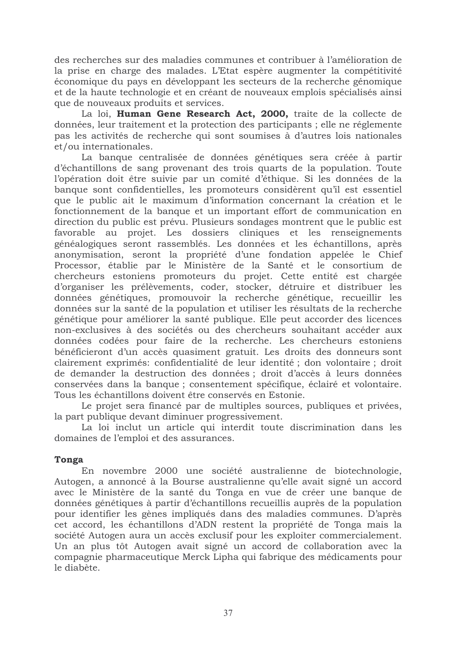des recherches sur des maladies communes et contribuer à l'amélioration de la prise en charge des malades. L'Etat espère augmenter la compétitivité économique du pays en développant les secteurs de la recherche génomique et de la haute technologie et en créant de nouveaux emplois spécialisés ainsi que de nouveaux produits et services.

La loi, Human Gene Research Act, 2000, traite de la collecte de données, leur traitement et la protection des participants ; elle ne réglemente pas les activités de recherche qui sont soumises à d'autres lois nationales et/ou internationales.

La banque centralisée de données génétiques sera créée à partir d'échantillons de sang provenant des trois quarts de la population. Toute l'opération doit être suivie par un comité d'éthique. Si les données de la banque sont confidentielles, les promoteurs considèrent qu'il est essentiel que le public ait le maximum d'information concernant la création et le fonctionnement de la banque et un important effort de communication en direction du public est prévu. Plusieurs sondages montrent que le public est favorable au projet. Les dossiers cliniques et les renseignements généalogiques seront rassemblés. Les données et les échantillons, après anonymisation, seront la propriété d'une fondation appelée le Chief Processor, établie par le Ministère de la Santé et le consortium de chercheurs estoniens promoteurs du projet. Cette entité est chargée d'organiser les prélèvements, coder, stocker, détruire et distribuer les données génétiques, promouvoir la recherche génétique, recueillir les données sur la santé de la population et utiliser les résultats de la recherche génétique pour améliorer la santé publique. Elle peut accorder des licences non-exclusives à des sociétés ou des chercheurs souhaitant accéder aux données codées pour faire de la recherche. Les chercheurs estoniens bénéficieront d'un accès quasiment gratuit. Les droits des donneurs sont clairement exprimés: confidentialité de leur identité ; don volontaire ; droit de demander la destruction des données ; droit d'accès à leurs données conservées dans la banque ; consentement spécifique, éclairé et volontaire. Tous les échantillons doivent être conservés en Estonie.

Le projet sera financé par de multiples sources, publiques et privées, la part publique devant diminuer progressivement.

La loi inclut un article qui interdit toute discrimination dans les domaines de l'emploi et des assurances.

#### **Tonga**

En novembre 2000 une société australienne de biotechnologie, Autogen, a annoncé à la Bourse australienne qu'elle avait signé un accord avec le Ministère de la santé du Tonga en vue de créer une banque de données génétiques à partir d'échantillons recueillis auprès de la population pour identifier les gènes impliqués dans des maladies communes. D'après cet accord, les échantillons d'ADN restent la propriété de Tonga mais la société Autogen aura un accès exclusif pour les exploiter commercialement. Un an plus tôt Autogen avait signé un accord de collaboration avec la compagnie pharmaceutique Merck Lipha qui fabrique des médicaments pour le diabète.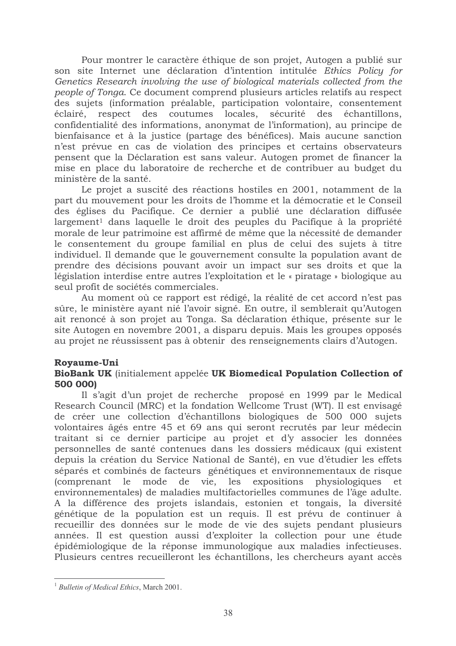Pour montrer le caractère éthique de son projet, Autogen a publié sur son site Internet une déclaration d'intention intitulée Ethics Policy for Genetics Research involving the use of biological materials collected from the people of Tonga. Ce document comprend plusieurs articles relatifs au respect des sujets (information préalable, participation volontaire, consentement éclairé, respect des coutumes locales, sécurité des échantillons, confidentialité des informations, anonymat de l'information), au principe de bienfaisance et à la justice (partage des bénéfices). Mais aucune sanction n'est prévue en cas de violation des principes et certains observateurs pensent que la Déclaration est sans valeur. Autogen promet de financer la mise en place du laboratoire de recherche et de contribuer au budget du ministère de la santé.

Le projet a suscité des réactions hostiles en 2001, notamment de la part du mouvement pour les droits de l'homme et la démocratie et le Conseil des églises du Pacifique. Ce dernier a publié une déclaration diffusée largement<sup>1</sup> dans laquelle le droit des peuples du Pacifique à la propriété morale de leur patrimoine est affirmé de même que la nécessité de demander le consentement du groupe familial en plus de celui des sujets à titre individuel. Il demande que le gouvernement consulte la population avant de prendre des décisions pouvant avoir un impact sur ses droits et que la législation interdise entre autres l'exploitation et le « piratage » biologique au seul profit de sociétés commerciales.

Au moment où ce rapport est rédigé, la réalité de cet accord n'est pas sûre, le ministère ayant nié l'avoir signé. En outre, il semblerait qu'Autogen ait renoncé à son projet au Tonga. Sa déclaration éthique, présente sur le site Autogen en novembre 2001, a disparu depuis. Mais les groupes opposés au projet ne réussissent pas à obtenir des renseignements clairs d'Autogen.

#### Royaume-Uni

#### BioBank UK (initialement appelée UK Biomedical Population Collection of 500 0001

Il s'agit d'un projet de recherche proposé en 1999 par le Medical Research Council (MRC) et la fondation Wellcome Trust (WT). Il est envisagé de créer une collection d'échantillons biologiques de 500 000 sujets volontaires âgés entre 45 et 69 ans qui seront recrutés par leur médecin traitant si ce dernier participe au projet et d'y associer les données personnelles de santé contenues dans les dossiers médicaux (qui existent depuis la création du Service National de Santé), en vue d'étudier les effets séparés et combinés de facteurs génétiques et environnementaux de risque vie, les expositions (comprenant le mode de physiologiques et. environnementales) de maladies multifactorielles communes de l'âge adulte. A la différence des projets islandais, estonien et tongais, la diversité génétique de la population est un requis. Il est prévu de continuer à recueillir des données sur le mode de vie des sujets pendant plusieurs années. Il est question aussi d'exploiter la collection pour une étude épidémiologique de la réponse immunologique aux maladies infectieuses. Plusieurs centres recueilleront les échantillons, les chercheurs ayant accès

<sup>&</sup>lt;sup>1</sup> Bulletin of Medical Ethics, March 2001.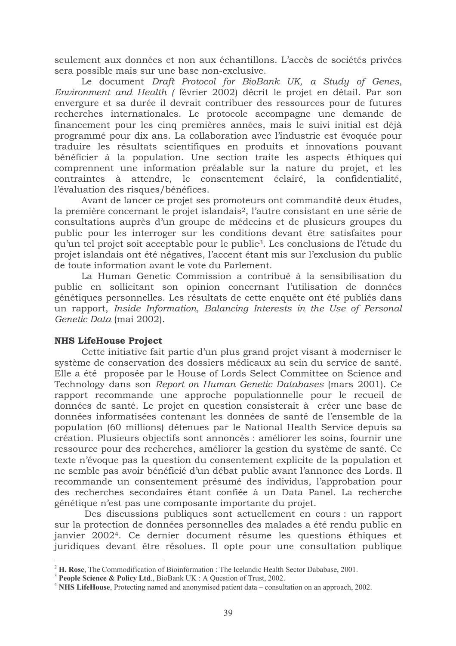seulement aux données et non aux échantillons. L'accès de sociétés privées sera possible mais sur une base non-exclusive.

Le document Draft Protocol for BioBank UK, a Study of Genes, Environment and Health (février 2002) décrit le projet en détail. Par son envergure et sa durée il devrait contribuer des ressources pour de futures recherches internationales. Le protocole accompagne une demande de financement pour les cinq premières années, mais le suivi initial est déjà programmé pour dix ans. La collaboration avec l'industrie est évoquée pour traduire les résultats scientifiques en produits et innovations pouvant bénéficier à la population. Une section traite les aspects éthiques qui comprennent une information préalable sur la nature du projet, et les contraintes à attendre, le consentement éclairé, la confidentialité, l'évaluation des risques/bénéfices.

Avant de lancer ce projet ses promoteurs ont commandité deux études, la première concernant le projet islandais<sup>2</sup>, l'autre consistant en une série de consultations auprès d'un groupe de médecins et de plusieurs groupes du public pour les interroger sur les conditions devant être satisfaites pour qu'un tel projet soit acceptable pour le public<sup>3</sup>. Les conclusions de l'étude du projet islandais ont été négatives, l'accent étant mis sur l'exclusion du public de toute information avant le vote du Parlement.

La Human Genetic Commission a contribué à la sensibilisation du public en sollicitant son opinion concernant l'utilisation de données génétiques personnelles. Les résultats de cette enquête ont été publiés dans un rapport, Inside Information, Balancing Interests in the Use of Personal Genetic Data (mai 2002).

#### **NHS LifeHouse Project**

Cette initiative fait partie d'un plus grand projet visant à moderniser le système de conservation des dossiers médicaux au sein du service de santé. Elle a été proposée par le House of Lords Select Committee on Science and Technology dans son Report on Human Genetic Databases (mars 2001). Ce rapport recommande une approche populationnelle pour le recueil de données de santé. Le projet en question consisterait à créer une base de données informatisées contenant les données de santé de l'ensemble de la population (60 millions) détenues par le National Health Service depuis sa création. Plusieurs objectifs sont annoncés : améliorer les soins, fournir une ressource pour des recherches, améliorer la gestion du système de santé. Ce texte n'évoque pas la question du consentement explicite de la population et ne semble pas avoir bénéficié d'un débat public avant l'annonce des Lords. Il recommande un consentement présumé des individus, l'approbation pour des recherches secondaires étant confiée à un Data Panel. La recherche génétique n'est pas une composante importante du projet.

Des discussions publiques sont actuellement en cours : un rapport sur la protection de données personnelles des malades a été rendu public en janvier 2002<sup>4</sup>. Ce dernier document résume les questions éthiques et juridiques devant être résolues. Il opte pour une consultation publique

 $2$  H. Rose, The Commodification of Bioinformation : The Icelandic Health Sector Dababase, 2001.

<sup>&</sup>lt;sup>3</sup> People Science & Policy Ltd., BioBank UK: A Question of Trust, 2002.

<sup>&</sup>lt;sup>4</sup> NHS LifeHouse, Protecting named and anonymised patient data – consultation on an approach, 2002.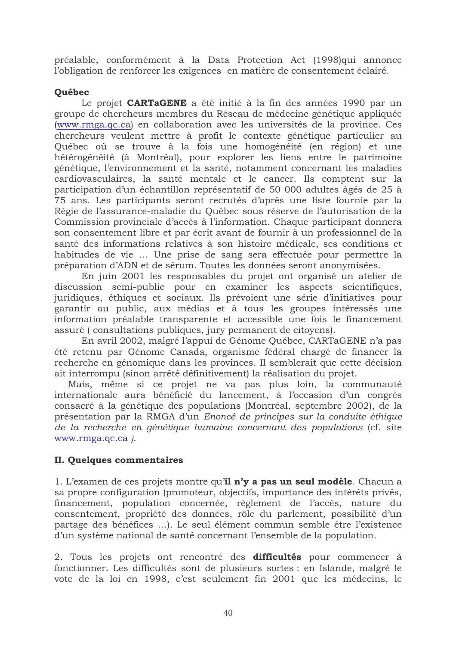préalable, conformément à la Data Protection Act (1998)qui annonce l'obligation de renforcer les exigences en matière de consentement éclairé.

## Québec

Le projet **CARTaGENE** a été initié à la fin des années 1990 par un groupe de chercheurs membres du Réseau de médecine génétique appliquée (www.rmga.qc.ca) en collaboration avec les universités de la province. Ces chercheurs veulent mettre à profit le contexte génétique particulier au Québec où se trouve à la fois une homogénéité (en région) et une hétérogénéité (à Montréal), pour explorer les liens entre le patrimoine génétique, l'environnement et la santé, notamment concernant les maladies cardiovasculaires, la santé mentale et le cancer. Ils comptent sur la participation d'un échantillon représentatif de 50 000 adultes âgés de 25 à 75 ans. Les participants seront recrutés d'après une liste fournie par la Régie de l'assurance-maladie du Québec sous réserve de l'autorisation de la Commission provinciale d'accès à l'information. Chaque participant donnera son consentement libre et par écrit avant de fournir à un professionnel de la santé des informations relatives à son histoire médicale, ses conditions et habitudes de vie ... Une prise de sang sera effectuée pour permettre la préparation d'ADN et de sérum. Toutes les données seront anonymisées.

En juin 2001 les responsables du projet ont organisé un atelier de discussion semi-public pour en examiner les aspects scientifiques, juridiques, éthiques et sociaux. Ils prévoient une série d'initiatives pour garantir au public, aux médias et à tous les groupes intéressés une information préalable transparente et accessible une fois le financement assuré (consultations publiques, jury permanent de citoyens).

En avril 2002, malgré l'appui de Génome Québec, CARTaGENE n'a pas été retenu par Génome Canada, organisme fédéral chargé de financer la recherche en génomique dans les provinces. Il semblerait que cette décision ait interrompu (sinon arrêté définitivement) la réalisation du projet.

Mais, même si ce projet ne va pas plus loin, la communauté internationale aura bénéficié du lancement, à l'occasion d'un congrès consacré à la génétique des populations (Montréal, septembre 2002), de la présentation par la RMGA d'un Enoncé de principes sur la conduite éthique de la recherche en génétique humaine concernant des populations (cf. site www.rmga.qc.ca).

## **II. Quelques commentaires**

1. L'examen de ces projets montre qu'il n'y a pas un seul modèle. Chacun a sa propre configuration (promoteur, objectifs, importance des intérêts privés, financement, population concernée, règlement de l'accès, nature du consentement, propriété des données, rôle du parlement, possibilité d'un partage des bénéfices ...). Le seul élément commun semble être l'existence d'un système national de santé concernant l'ensemble de la population.

2. Tous les projets ont rencontré des difficultés pour commencer à fonctionner. Les difficultés sont de plusieurs sortes : en Islande, malgré le vote de la loi en 1998, c'est seulement fin 2001 que les médecins, le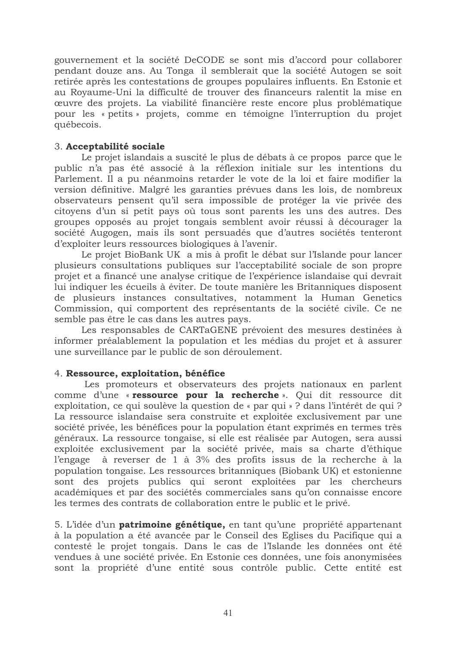gouvernement et la société DeCODE se sont mis d'accord pour collaborer pendant douze ans. Au Tonga il semblerait que la société Autogen se soit retirée après les contestations de groupes populaires influents. En Estonie et au Royaume-Uni la difficulté de trouver des financeurs ralentit la mise en œuvre des projets. La viabilité financière reste encore plus problématique pour les « petits » projets, comme en témoigne l'interruption du projet québecois.

## 3. Acceptabilité sociale

Le projet islandais a suscité le plus de débats à ce propos parce que le public n'a pas été associé à la réflexion initiale sur les intentions du Parlement. Il a pu néanmoins retarder le vote de la loi et faire modifier la version définitive. Malgré les garanties prévues dans les lois, de nombreux observateurs pensent qu'il sera impossible de protéger la vie privée des citoyens d'un si petit pays où tous sont parents les uns des autres. Des groupes opposés au projet tongais semblent avoir réussi à décourager la société Augogen, mais ils sont persuadés que d'autres sociétés tenteront d'exploiter leurs ressources biologiques à l'avenir.

Le projet BioBank UK a mis à profit le débat sur l'Islande pour lancer plusieurs consultations publiques sur l'acceptabilité sociale de son propre projet et a financé une analyse critique de l'expérience islandaise qui devrait lui indiquer les écueils à éviter. De toute manière les Britanniques disposent de plusieurs instances consultatives, notamment la Human Genetics Commission, qui comportent des représentants de la société civile. Ce ne semble pas être le cas dans les autres pays.

Les responsables de CARTaGENE prévoient des mesures destinées à informer préalablement la population et les médias du projet et à assurer une surveillance par le public de son déroulement.

#### 4. Ressource, exploitation, bénéfice

Les promoteurs et observateurs des projets nationaux en parlent comme d'une « ressource pour la recherche ». Qui dit ressource dit exploitation, ce qui soulève la question de « par qui » ? dans l'intérêt de qui ? La ressource islandaise sera construite et exploitée exclusivement par une société privée, les bénéfices pour la population étant exprimés en termes très généraux. La ressource tongaise, si elle est réalisée par Autogen, sera aussi exploitée exclusivement par la société privée, mais sa charte d'éthique à reverser de 1 à 3% des profits issus de la recherche à la *l'*engage population tongaise. Les ressources britanniques (Biobank UK) et estonienne sont des projets publics qui seront exploitées par les chercheurs académiques et par des sociétés commerciales sans qu'on connaisse encore les termes des contrats de collaboration entre le public et le privé.

5. L'idée d'un **patrimoine génétique**, en tant qu'une propriété appartenant à la population a été avancée par le Conseil des Eglises du Pacifique qui a contesté le projet tongais. Dans le cas de l'Islande les données ont été vendues à une société privée. En Estonie ces données, une fois anonymisées sont la propriété d'une entité sous contrôle public. Cette entité est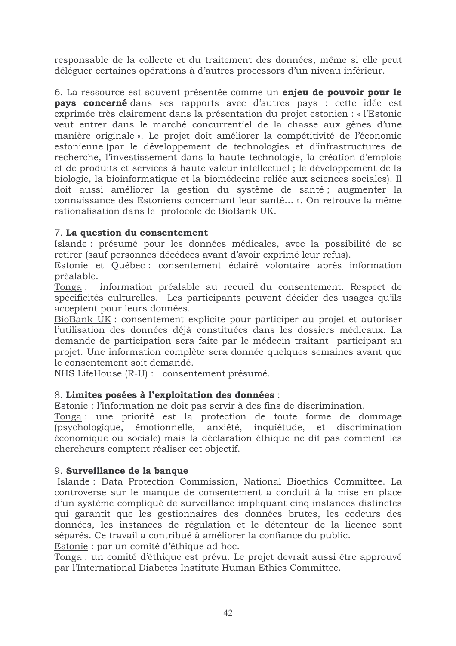responsable de la collecte et du traitement des données, même si elle peut déléguer certaines opérations à d'autres processors d'un niveau inférieur.

6. La ressource est souvent présentée comme un enjeu de pouvoir pour le **pays concerné** dans ses rapports avec d'autres pays : cette idée est exprimée très clairement dans la présentation du projet estonien : « l'Estonie veut entrer dans le marché concurrentiel de la chasse aux gènes d'une manière originale ». Le projet doit améliorer la compétitivité de l'économie estonienne (par le développement de technologies et d'infrastructures de recherche, l'investissement dans la haute technologie, la création d'emplois et de produits et services à haute valeur intellectuel ; le développement de la biologie, la bioinformatique et la biomédecine reliée aux sciences sociales). Il doit aussi améliorer la gestion du système de santé; augmenter la connaissance des Estoniens concernant leur santé... ». On retrouve la même rationalisation dans le protocole de BioBank UK.

## 7. La question du consentement

Islande : présumé pour les données médicales, avec la possibilité de se retirer (sauf personnes décédées avant d'avoir exprimé leur refus).

Estonie et Québec : consentement éclairé volontaire après information préalable.

Tonga : information préalable au recueil du consentement. Respect de spécificités culturelles. Les participants peuvent décider des usages qu'ils acceptent pour leurs données.

BioBank UK : consentement explicite pour participer au projet et autoriser l'utilisation des données déjà constituées dans les dossiers médicaux. La demande de participation sera faite par le médecin traitant participant au projet. Une information complète sera donnée quelques semaines avant que le consentement soit demandé.

NHS LifeHouse (R-U) : consentement présumé.

#### 8. Limites posées à l'exploitation des données :

Estonie : l'information ne doit pas servir à des fins de discrimination.

Tonga : une priorité est la protection de toute forme de dommage (psychologique, émotionnelle, anxiété, inquiétude, et discrimination économique ou sociale) mais la déclaration éthique ne dit pas comment les chercheurs comptent réaliser cet objectif.

#### 9. Surveillance de la banque

Islande: Data Protection Commission, National Bioethics Committee. La controverse sur le manque de consentement a conduit à la mise en place d'un système compliqué de surveillance impliquant cinq instances distinctes qui garantit que les gestionnaires des données brutes, les codeurs des données, les instances de régulation et le détenteur de la licence sont séparés. Ce travail a contribué à améliorer la confiance du public.

Estonie : par un comité d'éthique ad hoc.

Tonga : un comité d'éthique est prévu. Le projet devrait aussi être approuvé par l'International Diabetes Institute Human Ethics Committee.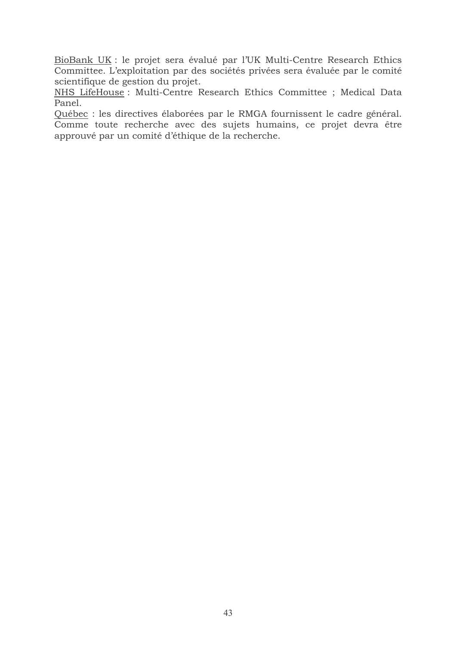BioBank UK : le projet sera évalué par l'UK Multi-Centre Research Ethics Committee. L'exploitation par des sociétés privées sera évaluée par le comité scientifique de gestion du projet.

NHS LifeHouse: Multi-Centre Research Ethics Committee ; Medical Data Panel.

Québec : les directives élaborées par le RMGA fournissent le cadre général. Comme toute recherche avec des sujets humains, ce projet devra être approuvé par un comité d'éthique de la recherche.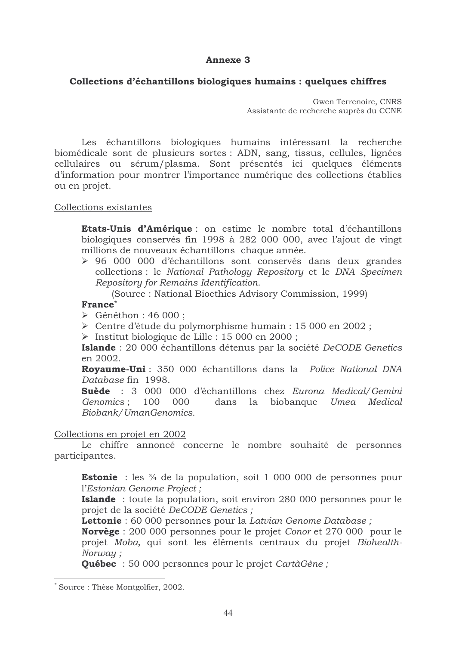#### **Annexe 3**

#### Collections d'échantillons biologiques humains : quelques chiffres

Gwen Terrenoire, CNRS Assistante de recherche auprès du CCNE

Les échantillons biologiques humains intéressant la recherche biomédicale sont de plusieurs sortes : ADN, sang, tissus, cellules, lignées cellulaires ou sérum/plasma. Sont présentés ici quelques éléments d'information pour montrer l'importance numérique des collections établies ou en projet.

#### Collections existantes

Etats-Unis d'Amérique : on estime le nombre total d'échantillons biologiques conservés fin 1998 à 282 000 000, avec l'ajout de vingt millions de nouveaux échantillons chaque année.

> 96 000 000 d'échantillons sont conservés dans deux grandes collections : le National Pathology Repository et le DNA Specimen Repository for Remains Identification.

(Source: National Bioethics Advisory Commission, 1999)

#### France\*

 $\triangleright$  Généthon : 46 000 :

- > Centre d'étude du polymorphisme humain : 15 000 en 2002 ;
- > Institut biologique de Lille : 15 000 en 2000 ;

Islande : 20 000 échantillons détenus par la société DeCODE Genetics en 2002.

**Rovaume-Uni**: 350 000 échantillons dans la Police National DNA Database fin 1998.

Suède : 3 000 000 d'échantillons chez Eurona Medical/Gemini Genomics: 100 000 dans la biobanque Umea Medical Biobank/UmanGenomics.

#### Collections en projet en 2002

Le chiffre annoncé concerne le nombre souhaité de personnes participantes.

**Estonie** : les  $\frac{3}{4}$  de la population, soit 1 000 000 de personnes pour l'Estonian Genome Project;

**Islande** : toute la population, soit environ 280 000 personnes pour le projet de la société DeCODE Genetics ;

**Lettonie**: 60 000 personnes pour la Latvian Genome Database;

**Norvège** : 200 000 personnes pour le projet Conor et 270 000 pour le projet Moba, qui sont les éléments centraux du projet Biohealth-Norway:

**Québec** : 50 000 personnes pour le projet CartàGène;

Source: Thèse Montgolfier, 2002.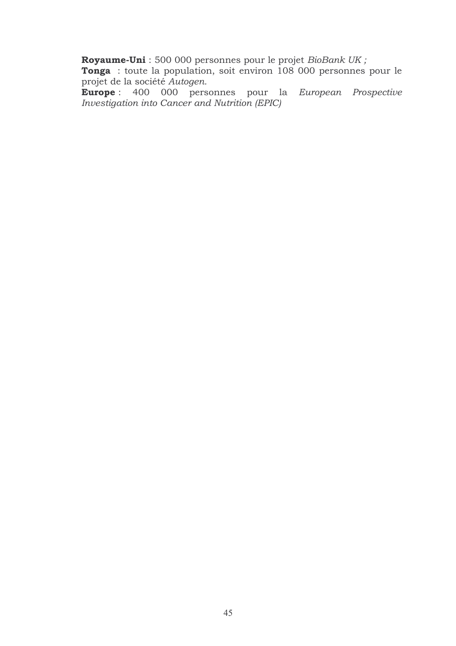Royaume-Uni : 500 000 personnes pour le projet *BioBank UK ;*<br>Tonga : toute la population, soit environ 108 000 personnes pour le projet de la société Autogen.

Europe: 400 000 personnes pour la European Prospective Investigation into Cancer and Nutrition (EPIC)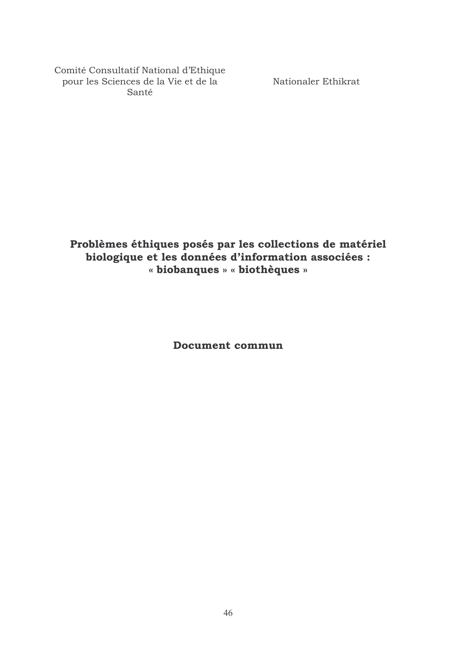Comité Consultatif National d'Ethique pour les Sciences de la Vie et de la Santé

Nationaler Ethikrat

Problèmes éthiques posés par les collections de matériel biologique et les données d'information associées : « biobanques » « biothèques »

**Document commun**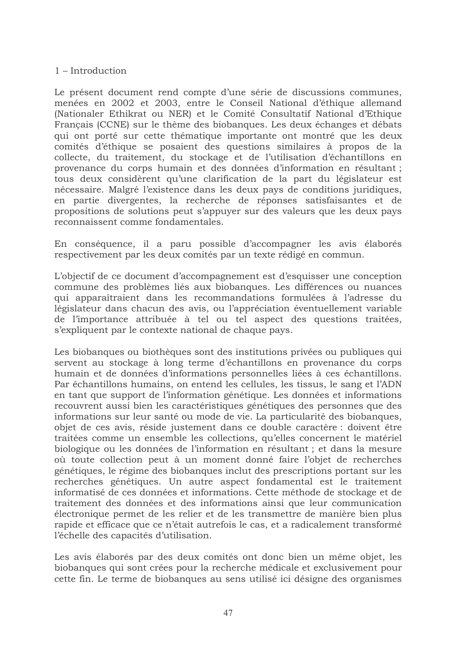$1 - Introduction$ 

Le présent document rend compte d'une série de discussions communes, menées en 2002 et 2003, entre le Conseil National d'éthique allemand (Nationaler Ethikrat ou NER) et le Comité Consultatif National d'Ethique Français (CCNE) sur le thème des biobanques. Les deux échanges et débats qui ont porté sur cette thématique importante ont montré que les deux comités d'éthique se posaient des questions similaires à propos de la collecte, du traitement, du stockage et de l'utilisation d'échantillons en provenance du corps humain et des données d'information en résultant; tous deux considèrent qu'une clarification de la part du législateur est nécessaire. Malgré l'existence dans les deux pays de conditions juridiques, en partie divergentes, la recherche de réponses satisfaisantes et de propositions de solutions peut s'appuyer sur des valeurs que les deux pays reconnaissent comme fondamentales.

En conséquence, il a paru possible d'accompagner les avis élaborés respectivement par les deux comités par un texte rédigé en commun.

L'objectif de ce document d'accompagnement est d'esquisser une conception commune des problèmes liés aux biobanques. Les différences ou nuances qui apparaîtraient dans les recommandations formulées à l'adresse du législateur dans chacun des avis, ou l'appréciation éventuellement variable de l'importance attribuée à tel ou tel aspect des questions traitées, s'expliquent par le contexte national de chaque pays.

Les biobanques ou biothèques sont des institutions privées ou publiques qui servent au stockage à long terme d'échantillons en provenance du corps humain et de données d'informations personnelles liées à ces échantillons. Par échantillons humains, on entend les cellules, les tissus, le sang et l'ADN en tant que support de l'information génétique. Les données et informations recouvrent aussi bien les caractéristiques génétiques des personnes que des informations sur leur santé ou mode de vie. La particularité des biobanques, objet de ces avis, réside justement dans ce double caractère : doivent être traitées comme un ensemble les collections, qu'elles concernent le matériel biologique ou les données de l'information en résultant ; et dans la mesure où toute collection peut à un moment donné faire l'objet de recherches génétiques, le régime des biobanques inclut des prescriptions portant sur les recherches génétiques. Un autre aspect fondamental est le traitement informatisé de ces données et informations. Cette méthode de stockage et de traitement des données et des informations ainsi que leur communication électronique permet de les relier et de les transmettre de manière bien plus rapide et efficace que ce n'était autrefois le cas, et a radicalement transformé l'échelle des capacités d'utilisation.

Les avis élaborés par des deux comités ont donc bien un même objet, les biobanques qui sont crées pour la recherche médicale et exclusivement pour cette fin. Le terme de biobanques au sens utilisé ici désigne des organismes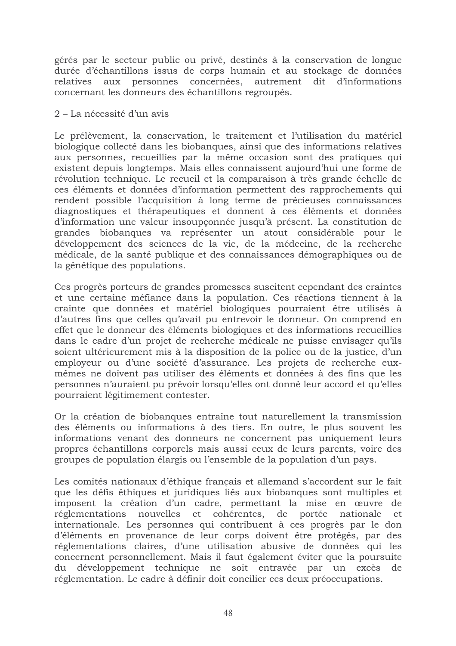gérés par le secteur public ou privé, destinés à la conservation de longue durée d'échantillons issus de corps humain et au stockage de données personnes concernées, autrement dit d'informations relatives aux concernant les donneurs des échantillons regroupés.

#### 2 – La nécessité d'un avis

Le prélèvement, la conservation, le traitement et l'utilisation du matériel biologique collecté dans les biobanques, ainsi que des informations relatives aux personnes, recueillies par la même occasion sont des pratiques qui existent depuis longtemps. Mais elles connaissent aujourd'hui une forme de révolution technique. Le recueil et la comparaison à très grande échelle de ces éléments et données d'information permettent des rapprochements qui rendent possible l'acquisition à long terme de précieuses connaissances diagnostiques et thérapeutiques et donnent à ces éléments et données d'information une valeur insoupconnée jusqu'à présent. La constitution de grandes biobanques va représenter un atout considérable pour le développement des sciences de la vie, de la médecine, de la recherche médicale, de la santé publique et des connaissances démographiques ou de la génétique des populations.

Ces progrès porteurs de grandes promesses suscitent cependant des craintes et une certaine méfiance dans la population. Ces réactions tiennent à la crainte que données et matériel biologiques pourraient être utilisés à d'autres fins que celles qu'avait pu entrevoir le donneur. On comprend en effet que le donneur des éléments biologiques et des informations recueillies dans le cadre d'un projet de recherche médicale ne puisse envisager qu'ils soient ultérieurement mis à la disposition de la police ou de la justice, d'un employeur ou d'une société d'assurance. Les projets de recherche euxmêmes ne doivent pas utiliser des éléments et données à des fins que les personnes n'auraient pu prévoir lorsqu'elles ont donné leur accord et qu'elles pourraient légitimement contester.

Or la création de biobanques entraîne tout naturellement la transmission des éléments ou informations à des tiers. En outre, le plus souvent les informations venant des donneurs ne concernent pas uniquement leurs propres échantillons corporels mais aussi ceux de leurs parents, voire des groupes de population élargis ou l'ensemble de la population d'un pays.

Les comités nationaux d'éthique français et allemand s'accordent sur le fait que les défis éthiques et juridiques liés aux biobanques sont multiples et imposent la création d'un cadre, permettant la mise en œuvre de réglementations nouvelles et cohérentes, de portée nationale et internationale. Les personnes qui contribuent à ces progrès par le don d'éléments en provenance de leur corps doivent être protégés, par des réglementations claires, d'une utilisation abusive de données qui les concernent personnellement. Mais il faut également éviter que la poursuite du développement technique ne soit entravée par un excès de réglementation. Le cadre à définir doit concilier ces deux préoccupations.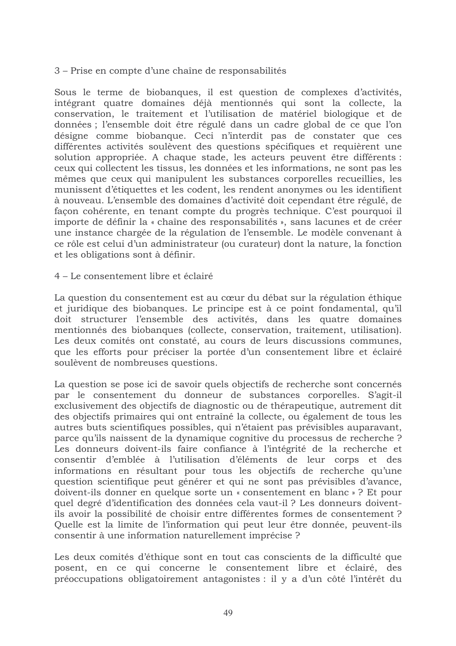3 – Prise en compte d'une chaîne de responsabilités

Sous le terme de biobanques, il est question de complexes d'activités, intégrant quatre domaines déjà mentionnés qui sont la collecte, la conservation, le traitement et l'utilisation de matériel biologique et de données ; l'ensemble doit être régulé dans un cadre global de ce que l'on désigne comme biobanque. Ceci n'interdit pas de constater que ces différentes activités soulèvent des questions spécifiques et requièrent une solution appropriée. A chaque stade, les acteurs peuvent être différents : ceux qui collectent les tissus, les données et les informations, ne sont pas les mêmes que ceux qui manipulent les substances corporelles recueillies, les munissent d'étiquettes et les codent, les rendent anonymes ou les identifient à nouveau. L'ensemble des domaines d'activité doit cependant être régulé, de façon cohérente, en tenant compte du progrès technique. C'est pourquoi il importe de définir la « chaîne des responsabilités », sans lacunes et de créer une instance chargée de la régulation de l'ensemble. Le modèle convenant à ce rôle est celui d'un administrateur (ou curateur) dont la nature, la fonction et les obligations sont à définir.

4 – Le consentement libre et éclairé

La question du consentement est au cœur du débat sur la régulation éthique et juridique des biobanques. Le principe est à ce point fondamental, qu'il doit structurer l'ensemble des activités, dans les quatre domaines mentionnés des biobanques (collecte, conservation, traitement, utilisation). Les deux comités ont constaté, au cours de leurs discussions communes, que les efforts pour préciser la portée d'un consentement libre et éclairé soulèvent de nombreuses questions.

La question se pose ici de savoir quels objectifs de recherche sont concernés par le consentement du donneur de substances corporelles. S'agit-il exclusivement des objectifs de diagnostic ou de thérapeutique, autrement dit des objectifs primaires qui ont entraîné la collecte, ou également de tous les autres buts scientifiques possibles, qui n'étaient pas prévisibles auparavant, parce qu'ils naissent de la dynamique cognitive du processus de recherche? Les donneurs doivent-ils faire confiance à l'intégrité de la recherche et consentir d'emblée à l'utilisation d'éléments de leur corps et des informations en résultant pour tous les objectifs de recherche qu'une question scientifique peut générer et qui ne sont pas prévisibles d'avance, doivent-ils donner en quelque sorte un « consentement en blanc »? Et pour quel degré d'identification des données cela vaut-il ? Les donneurs doiventils avoir la possibilité de choisir entre différentes formes de consentement? Quelle est la limite de l'information qui peut leur être donnée, peuvent-ils consentir à une information naturellement imprécise ?

Les deux comités d'éthique sont en tout cas conscients de la difficulté que posent, en ce qui concerne le consentement libre et éclairé, des préoccupations obligatoirement antagonistes : il y a d'un côté l'intérêt du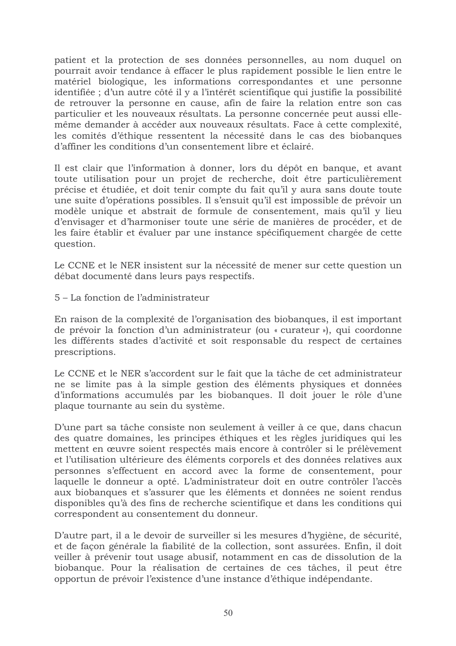patient et la protection de ses données personnelles, au nom duquel on pourrait avoir tendance à effacer le plus rapidement possible le lien entre le matériel biologique, les informations correspondantes et une personne identifiée ; d'un autre côté il y a l'intérêt scientifique qui justifie la possibilité de retrouver la personne en cause, afin de faire la relation entre son cas particulier et les nouveaux résultats. La personne concernée peut aussi ellemême demander à accéder aux nouveaux résultats. Face à cette complexité, les comités d'éthique ressentent la nécessité dans le cas des biobanques d'affiner les conditions d'un consentement libre et éclairé.

Il est clair que l'information à donner, lors du dépôt en banque, et avant toute utilisation pour un projet de recherche, doit être particulièrement précise et étudiée, et doit tenir compte du fait qu'il y aura sans doute toute une suite d'opérations possibles. Il s'ensuit qu'il est impossible de prévoir un modèle unique et abstrait de formule de consentement, mais qu'il y lieu d'envisager et d'harmoniser toute une série de manières de procéder, et de les faire établir et évaluer par une instance spécifiquement chargée de cette question.

Le CCNE et le NER insistent sur la nécessité de mener sur cette question un débat documenté dans leurs pays respectifs.

5 – La fonction de l'administrateur

En raison de la complexité de l'organisation des biobanques, il est important de prévoir la fonction d'un administrateur (ou « curateur »), qui coordonne les différents stades d'activité et soit responsable du respect de certaines prescriptions.

Le CCNE et le NER s'accordent sur le fait que la tâche de cet administrateur ne se limite pas à la simple gestion des éléments physiques et données d'informations accumulés par les biobanques. Il doit jouer le rôle d'une plaque tournante au sein du système.

D'une part sa tâche consiste non seulement à veiller à ce que, dans chacun des quatre domaines, les principes éthiques et les règles juridiques qui les mettent en œuvre soient respectés mais encore à contrôler si le prélèvement et l'utilisation ultérieure des éléments corporels et des données relatives aux personnes s'effectuent en accord avec la forme de consentement, pour laquelle le donneur a opté. L'administrateur doit en outre contrôler l'accès aux biobanques et s'assurer que les éléments et données ne soient rendus disponibles qu'à des fins de recherche scientifique et dans les conditions qui correspondent au consentement du donneur.

D'autre part, il a le devoir de surveiller si les mesures d'hygiène, de sécurité, et de façon générale la fiabilité de la collection, sont assurées. Enfin, il doit veiller à prévenir tout usage abusif, notamment en cas de dissolution de la biobanque. Pour la réalisation de certaines de ces tâches, il peut être opportun de prévoir l'existence d'une instance d'éthique indépendante.